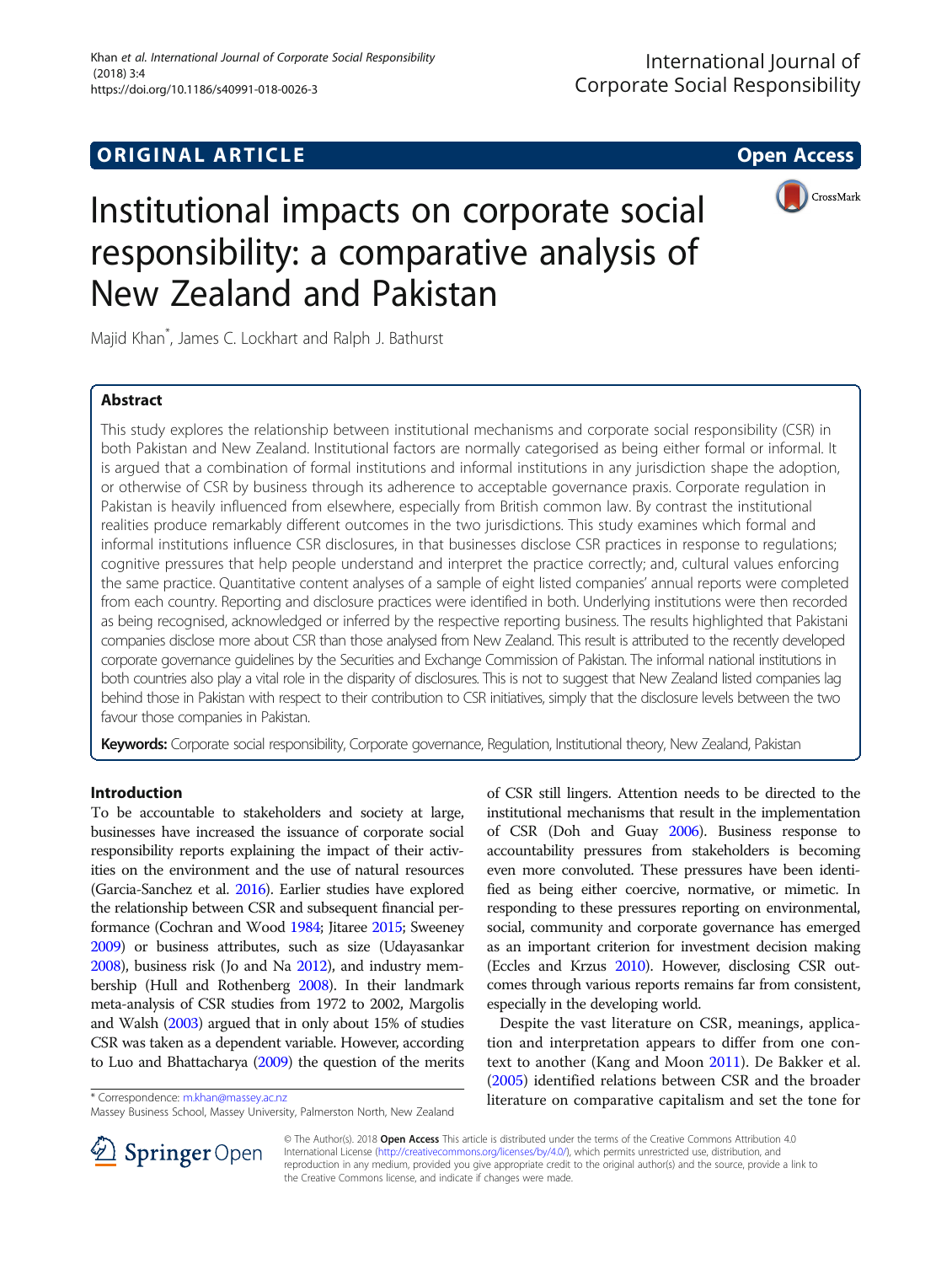## **ORIGINAL ARTICLE CONSERVANCE IN A LOCAL CONSERVANCE IN A LOCAL CONSERVANCE IN A LOCAL CONSERVANCE IN A LOCAL CONS**



# Institutional impacts on corporate social responsibility: a comparative analysis of New Zealand and Pakistan

Majid Khan\* , James C. Lockhart and Ralph J. Bathurst

## Abstract

This study explores the relationship between institutional mechanisms and corporate social responsibility (CSR) in both Pakistan and New Zealand. Institutional factors are normally categorised as being either formal or informal. It is argued that a combination of formal institutions and informal institutions in any jurisdiction shape the adoption, or otherwise of CSR by business through its adherence to acceptable governance praxis. Corporate regulation in Pakistan is heavily influenced from elsewhere, especially from British common law. By contrast the institutional realities produce remarkably different outcomes in the two jurisdictions. This study examines which formal and informal institutions influence CSR disclosures, in that businesses disclose CSR practices in response to regulations; cognitive pressures that help people understand and interpret the practice correctly; and, cultural values enforcing the same practice. Quantitative content analyses of a sample of eight listed companies' annual reports were completed from each country. Reporting and disclosure practices were identified in both. Underlying institutions were then recorded as being recognised, acknowledged or inferred by the respective reporting business. The results highlighted that Pakistani companies disclose more about CSR than those analysed from New Zealand. This result is attributed to the recently developed corporate governance guidelines by the Securities and Exchange Commission of Pakistan. The informal national institutions in both countries also play a vital role in the disparity of disclosures. This is not to suggest that New Zealand listed companies lag behind those in Pakistan with respect to their contribution to CSR initiatives, simply that the disclosure levels between the two favour those companies in Pakistan.

Keywords: Corporate social responsibility, Corporate governance, Regulation, Institutional theory, New Zealand, Pakistan

## Introduction

To be accountable to stakeholders and society at large, businesses have increased the issuance of corporate social responsibility reports explaining the impact of their activities on the environment and the use of natural resources (Garcia-Sanchez et al. [2016](#page-11-0)). Earlier studies have explored the relationship between CSR and subsequent financial performance (Cochran and Wood [1984](#page-10-0); Jitaree [2015;](#page-11-0) Sweeney [2009\)](#page-12-0) or business attributes, such as size (Udayasankar [2008\)](#page-12-0), business risk (Jo and Na [2012\)](#page-11-0), and industry membership (Hull and Rothenberg [2008\)](#page-11-0). In their landmark meta-analysis of CSR studies from 1972 to 2002, Margolis and Walsh [\(2003](#page-11-0)) argued that in only about 15% of studies CSR was taken as a dependent variable. However, according to Luo and Bhattacharya [\(2009](#page-11-0)) the question of the merits

of CSR still lingers. Attention needs to be directed to the institutional mechanisms that result in the implementation of CSR (Doh and Guay [2006](#page-11-0)). Business response to accountability pressures from stakeholders is becoming even more convoluted. These pressures have been identified as being either coercive, normative, or mimetic. In responding to these pressures reporting on environmental, social, community and corporate governance has emerged as an important criterion for investment decision making (Eccles and Krzus [2010\)](#page-11-0). However, disclosing CSR outcomes through various reports remains far from consistent, especially in the developing world.

Despite the vast literature on CSR, meanings, application and interpretation appears to differ from one context to another (Kang and Moon [2011\)](#page-11-0). De Bakker et al. ([2005\)](#page-10-0) identified relations between CSR and the broader \* Correspondence: [m.khan@massey.ac.nz](mailto:m.khan@massey.ac.nz) **hanger of the tone for** the tone for the tone for



© The Author(s). 2018 Open Access This article is distributed under the terms of the Creative Commons Attribution 4.0 International License ([http://creativecommons.org/licenses/by/4.0/\)](http://creativecommons.org/licenses/by/4.0/), which permits unrestricted use, distribution, and reproduction in any medium, provided you give appropriate credit to the original author(s) and the source, provide a link to the Creative Commons license, and indicate if changes were made.

Massey Business School, Massey University, Palmerston North, New Zealand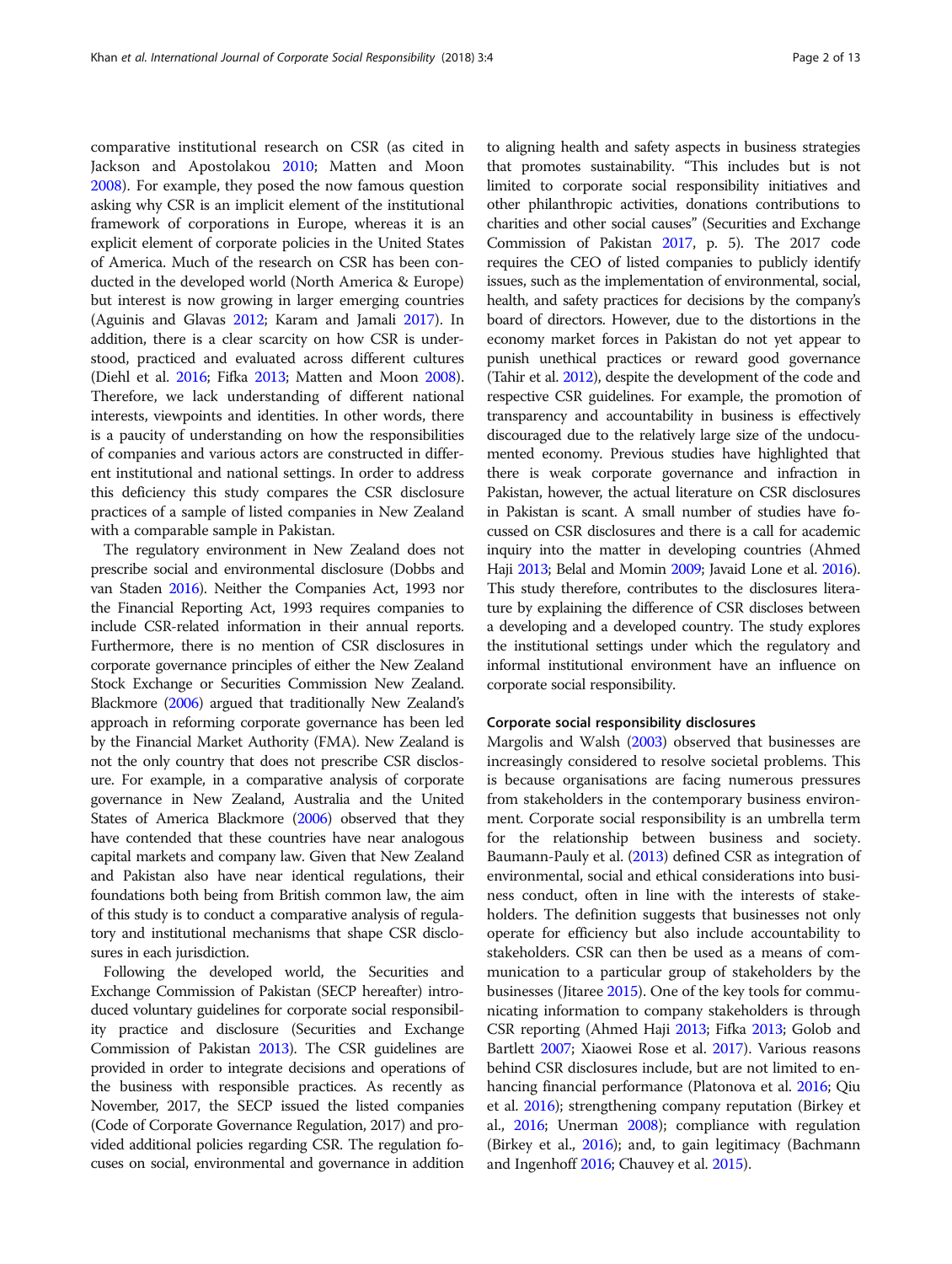comparative institutional research on CSR (as cited in Jackson and Apostolakou [2010;](#page-11-0) Matten and Moon [2008](#page-11-0)). For example, they posed the now famous question asking why CSR is an implicit element of the institutional framework of corporations in Europe, whereas it is an explicit element of corporate policies in the United States of America. Much of the research on CSR has been conducted in the developed world (North America & Europe) but interest is now growing in larger emerging countries (Aguinis and Glavas [2012](#page-10-0); Karam and Jamali [2017\)](#page-11-0). In addition, there is a clear scarcity on how CSR is understood, practiced and evaluated across different cultures (Diehl et al. [2016;](#page-10-0) Fifka [2013;](#page-11-0) Matten and Moon [2008](#page-11-0)). Therefore, we lack understanding of different national interests, viewpoints and identities. In other words, there is a paucity of understanding on how the responsibilities of companies and various actors are constructed in different institutional and national settings. In order to address this deficiency this study compares the CSR disclosure practices of a sample of listed companies in New Zealand with a comparable sample in Pakistan.

The regulatory environment in New Zealand does not prescribe social and environmental disclosure (Dobbs and van Staden [2016\)](#page-10-0). Neither the Companies Act, 1993 nor the Financial Reporting Act, 1993 requires companies to include CSR-related information in their annual reports. Furthermore, there is no mention of CSR disclosures in corporate governance principles of either the New Zealand Stock Exchange or Securities Commission New Zealand. Blackmore ([2006](#page-10-0)) argued that traditionally New Zealand's approach in reforming corporate governance has been led by the Financial Market Authority (FMA). New Zealand is not the only country that does not prescribe CSR disclosure. For example, in a comparative analysis of corporate governance in New Zealand, Australia and the United States of America Blackmore [\(2006\)](#page-10-0) observed that they have contended that these countries have near analogous capital markets and company law. Given that New Zealand and Pakistan also have near identical regulations, their foundations both being from British common law, the aim of this study is to conduct a comparative analysis of regulatory and institutional mechanisms that shape CSR disclosures in each jurisdiction.

Following the developed world, the Securities and Exchange Commission of Pakistan (SECP hereafter) introduced voluntary guidelines for corporate social responsibility practice and disclosure (Securities and Exchange Commission of Pakistan [2013\)](#page-12-0). The CSR guidelines are provided in order to integrate decisions and operations of the business with responsible practices. As recently as November, 2017, the SECP issued the listed companies (Code of Corporate Governance Regulation, 2017) and provided additional policies regarding CSR. The regulation focuses on social, environmental and governance in addition to aligning health and safety aspects in business strategies that promotes sustainability. "This includes but is not limited to corporate social responsibility initiatives and other philanthropic activities, donations contributions to charities and other social causes" (Securities and Exchange Commission of Pakistan [2017](#page-12-0), p. 5). The 2017 code requires the CEO of listed companies to publicly identify issues, such as the implementation of environmental, social, health, and safety practices for decisions by the company's board of directors. However, due to the distortions in the economy market forces in Pakistan do not yet appear to punish unethical practices or reward good governance (Tahir et al. [2012](#page-12-0)), despite the development of the code and respective CSR guidelines. For example, the promotion of transparency and accountability in business is effectively discouraged due to the relatively large size of the undocumented economy. Previous studies have highlighted that there is weak corporate governance and infraction in Pakistan, however, the actual literature on CSR disclosures in Pakistan is scant. A small number of studies have focussed on CSR disclosures and there is a call for academic inquiry into the matter in developing countries (Ahmed Haji [2013;](#page-10-0) Belal and Momin [2009;](#page-10-0) Javaid Lone et al. [2016](#page-11-0)). This study therefore, contributes to the disclosures literature by explaining the difference of CSR discloses between a developing and a developed country. The study explores the institutional settings under which the regulatory and informal institutional environment have an influence on corporate social responsibility.

## Corporate social responsibility disclosures

Margolis and Walsh [\(2003](#page-11-0)) observed that businesses are increasingly considered to resolve societal problems. This is because organisations are facing numerous pressures from stakeholders in the contemporary business environment. Corporate social responsibility is an umbrella term for the relationship between business and society. Baumann-Pauly et al. ([2013](#page-10-0)) defined CSR as integration of environmental, social and ethical considerations into business conduct, often in line with the interests of stakeholders. The definition suggests that businesses not only operate for efficiency but also include accountability to stakeholders. CSR can then be used as a means of communication to a particular group of stakeholders by the businesses (Jitaree [2015](#page-11-0)). One of the key tools for communicating information to company stakeholders is through CSR reporting (Ahmed Haji [2013](#page-10-0); Fifka [2013;](#page-11-0) Golob and Bartlett [2007;](#page-11-0) Xiaowei Rose et al. [2017](#page-12-0)). Various reasons behind CSR disclosures include, but are not limited to enhancing financial performance (Platonova et al. [2016;](#page-11-0) Qiu et al. [2016](#page-12-0)); strengthening company reputation (Birkey et al., [2016;](#page-10-0) Unerman [2008\)](#page-12-0); compliance with regulation (Birkey et al., [2016\)](#page-10-0); and, to gain legitimacy (Bachmann and Ingenhoff [2016;](#page-10-0) Chauvey et al. [2015](#page-10-0)).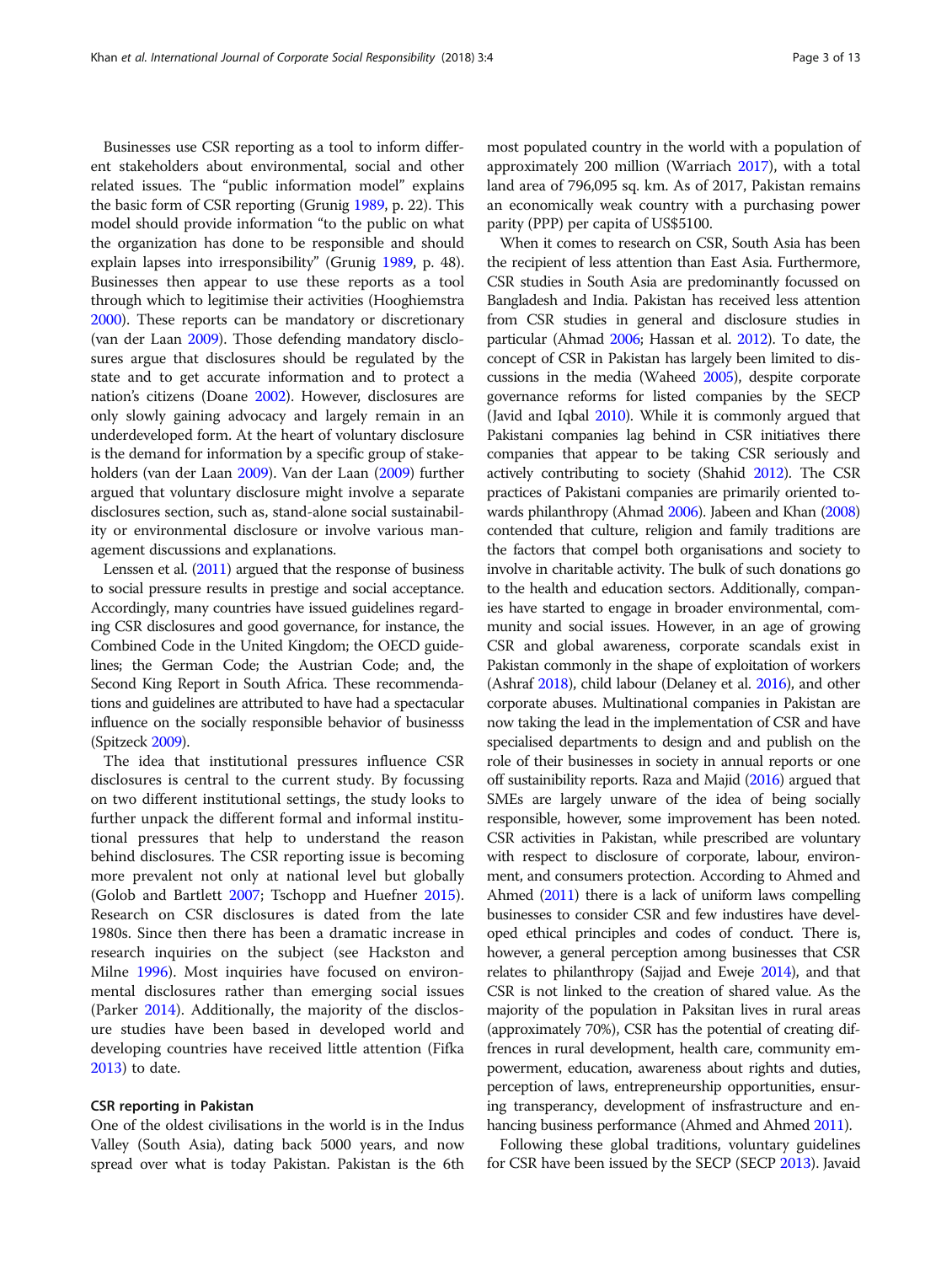Businesses use CSR reporting as a tool to inform different stakeholders about environmental, social and other related issues. The "public information model" explains the basic form of CSR reporting (Grunig [1989,](#page-11-0) p. 22). This model should provide information "to the public on what the organization has done to be responsible and should explain lapses into irresponsibility" (Grunig [1989](#page-11-0), p. 48). Businesses then appear to use these reports as a tool through which to legitimise their activities (Hooghiemstra [2000\)](#page-11-0). These reports can be mandatory or discretionary (van der Laan [2009\)](#page-12-0). Those defending mandatory disclosures argue that disclosures should be regulated by the state and to get accurate information and to protect a nation's citizens (Doane [2002\)](#page-10-0). However, disclosures are only slowly gaining advocacy and largely remain in an underdeveloped form. At the heart of voluntary disclosure is the demand for information by a specific group of stakeholders (van der Laan [2009\)](#page-12-0). Van der Laan [\(2009](#page-12-0)) further argued that voluntary disclosure might involve a separate disclosures section, such as, stand-alone social sustainability or environmental disclosure or involve various management discussions and explanations.

Lenssen et al. [\(2011\)](#page-11-0) argued that the response of business to social pressure results in prestige and social acceptance. Accordingly, many countries have issued guidelines regarding CSR disclosures and good governance, for instance, the Combined Code in the United Kingdom; the OECD guidelines; the German Code; the Austrian Code; and, the Second King Report in South Africa. These recommendations and guidelines are attributed to have had a spectacular influence on the socially responsible behavior of businesss (Spitzeck [2009\)](#page-12-0).

The idea that institutional pressures influence CSR disclosures is central to the current study. By focussing on two different institutional settings, the study looks to further unpack the different formal and informal institutional pressures that help to understand the reason behind disclosures. The CSR reporting issue is becoming more prevalent not only at national level but globally (Golob and Bartlett [2007;](#page-11-0) Tschopp and Huefner [2015](#page-12-0)). Research on CSR disclosures is dated from the late 1980s. Since then there has been a dramatic increase in research inquiries on the subject (see Hackston and Milne [1996](#page-11-0)). Most inquiries have focused on environmental disclosures rather than emerging social issues (Parker [2014](#page-11-0)). Additionally, the majority of the disclosure studies have been based in developed world and developing countries have received little attention (Fifka [2013](#page-11-0)) to date.

## CSR reporting in Pakistan

One of the oldest civilisations in the world is in the Indus Valley (South Asia), dating back 5000 years, and now spread over what is today Pakistan. Pakistan is the 6th

most populated country in the world with a population of approximately 200 million (Warriach [2017](#page-12-0)), with a total land area of 796,095 sq. km. As of 2017, Pakistan remains an economically weak country with a purchasing power parity (PPP) per capita of US\$5100.

When it comes to research on CSR, South Asia has been the recipient of less attention than East Asia. Furthermore, CSR studies in South Asia are predominantly focussed on Bangladesh and India. Pakistan has received less attention from CSR studies in general and disclosure studies in particular (Ahmad [2006;](#page-10-0) Hassan et al. [2012](#page-11-0)). To date, the concept of CSR in Pakistan has largely been limited to discussions in the media (Waheed [2005](#page-12-0)), despite corporate governance reforms for listed companies by the SECP (Javid and Iqbal [2010](#page-11-0)). While it is commonly argued that Pakistani companies lag behind in CSR initiatives there companies that appear to be taking CSR seriously and actively contributing to society (Shahid [2012\)](#page-12-0). The CSR practices of Pakistani companies are primarily oriented towards philanthropy (Ahmad [2006\)](#page-10-0). Jabeen and Khan ([2008](#page-11-0)) contended that culture, religion and family traditions are the factors that compel both organisations and society to involve in charitable activity. The bulk of such donations go to the health and education sectors. Additionally, companies have started to engage in broader environmental, community and social issues. However, in an age of growing CSR and global awareness, corporate scandals exist in Pakistan commonly in the shape of exploitation of workers (Ashraf [2018\)](#page-10-0), child labour (Delaney et al. [2016](#page-10-0)), and other corporate abuses. Multinational companies in Pakistan are now taking the lead in the implementation of CSR and have specialised departments to design and and publish on the role of their businesses in society in annual reports or one off sustainibility reports. Raza and Majid [\(2016\)](#page-12-0) argued that SMEs are largely unware of the idea of being socially responsible, however, some improvement has been noted. CSR activities in Pakistan, while prescribed are voluntary with respect to disclosure of corporate, labour, environment, and consumers protection. According to Ahmed and Ahmed ([2011\)](#page-10-0) there is a lack of uniform laws compelling businesses to consider CSR and few industires have developed ethical principles and codes of conduct. There is, however, a general perception among businesses that CSR relates to philanthropy (Sajjad and Eweje [2014](#page-12-0)), and that CSR is not linked to the creation of shared value. As the majority of the population in Paksitan lives in rural areas (approximately 70%), CSR has the potential of creating diffrences in rural development, health care, community empowerment, education, awareness about rights and duties, perception of laws, entrepreneurship opportunities, ensuring transperancy, development of insfrastructure and enhancing business performance (Ahmed and Ahmed [2011](#page-10-0)).

Following these global traditions, voluntary guidelines for CSR have been issued by the SECP (SECP [2013](#page-12-0)). Javaid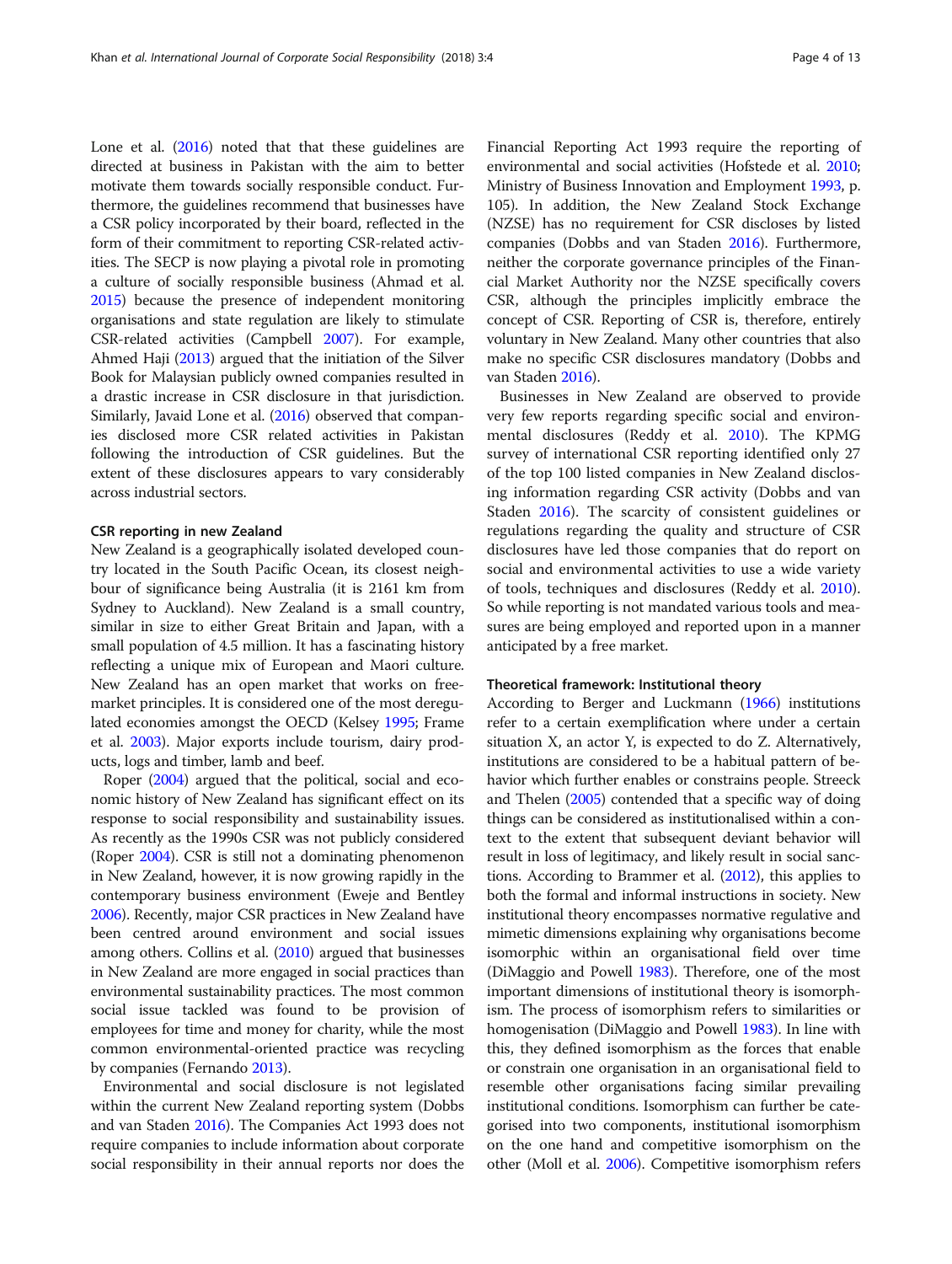Lone et al. [\(2016](#page-11-0)) noted that that these guidelines are directed at business in Pakistan with the aim to better motivate them towards socially responsible conduct. Furthermore, the guidelines recommend that businesses have a CSR policy incorporated by their board, reflected in the form of their commitment to reporting CSR-related activities. The SECP is now playing a pivotal role in promoting a culture of socially responsible business (Ahmad et al. [2015\)](#page-10-0) because the presence of independent monitoring organisations and state regulation are likely to stimulate CSR-related activities (Campbell [2007\)](#page-10-0). For example, Ahmed Haji [\(2013\)](#page-10-0) argued that the initiation of the Silver Book for Malaysian publicly owned companies resulted in a drastic increase in CSR disclosure in that jurisdiction. Similarly, Javaid Lone et al. ([2016](#page-11-0)) observed that companies disclosed more CSR related activities in Pakistan following the introduction of CSR guidelines. But the extent of these disclosures appears to vary considerably across industrial sectors.

## CSR reporting in new Zealand

New Zealand is a geographically isolated developed country located in the South Pacific Ocean, its closest neighbour of significance being Australia (it is 2161 km from Sydney to Auckland). New Zealand is a small country, similar in size to either Great Britain and Japan, with a small population of 4.5 million. It has a fascinating history reflecting a unique mix of European and Maori culture. New Zealand has an open market that works on freemarket principles. It is considered one of the most deregulated economies amongst the OECD (Kelsey [1995;](#page-11-0) Frame et al. [2003\)](#page-11-0). Major exports include tourism, dairy products, logs and timber, lamb and beef.

Roper ([2004](#page-12-0)) argued that the political, social and economic history of New Zealand has significant effect on its response to social responsibility and sustainability issues. As recently as the 1990s CSR was not publicly considered (Roper [2004\)](#page-12-0). CSR is still not a dominating phenomenon in New Zealand, however, it is now growing rapidly in the contemporary business environment (Eweje and Bentley [2006\)](#page-11-0). Recently, major CSR practices in New Zealand have been centred around environment and social issues among others. Collins et al. [\(2010\)](#page-10-0) argued that businesses in New Zealand are more engaged in social practices than environmental sustainability practices. The most common social issue tackled was found to be provision of employees for time and money for charity, while the most common environmental-oriented practice was recycling by companies (Fernando [2013](#page-11-0)).

Environmental and social disclosure is not legislated within the current New Zealand reporting system (Dobbs and van Staden [2016](#page-10-0)). The Companies Act 1993 does not require companies to include information about corporate social responsibility in their annual reports nor does the

Financial Reporting Act 1993 require the reporting of environmental and social activities (Hofstede et al. [2010](#page-11-0); Ministry of Business Innovation and Employment [1993](#page-11-0), p. 105). In addition, the New Zealand Stock Exchange (NZSE) has no requirement for CSR discloses by listed companies (Dobbs and van Staden [2016](#page-10-0)). Furthermore, neither the corporate governance principles of the Financial Market Authority nor the NZSE specifically covers CSR, although the principles implicitly embrace the concept of CSR. Reporting of CSR is, therefore, entirely voluntary in New Zealand. Many other countries that also make no specific CSR disclosures mandatory (Dobbs and van Staden [2016](#page-10-0)).

Businesses in New Zealand are observed to provide very few reports regarding specific social and environmental disclosures (Reddy et al. [2010](#page-12-0)). The KPMG survey of international CSR reporting identified only 27 of the top 100 listed companies in New Zealand disclosing information regarding CSR activity (Dobbs and van Staden [2016](#page-10-0)). The scarcity of consistent guidelines or regulations regarding the quality and structure of CSR disclosures have led those companies that do report on social and environmental activities to use a wide variety of tools, techniques and disclosures (Reddy et al. [2010](#page-12-0)). So while reporting is not mandated various tools and measures are being employed and reported upon in a manner anticipated by a free market.

#### Theoretical framework: Institutional theory

According to Berger and Luckmann [\(1966](#page-10-0)) institutions refer to a certain exemplification where under a certain situation X, an actor Y, is expected to do Z. Alternatively, institutions are considered to be a habitual pattern of behavior which further enables or constrains people. Streeck and Thelen ([2005](#page-12-0)) contended that a specific way of doing things can be considered as institutionalised within a context to the extent that subsequent deviant behavior will result in loss of legitimacy, and likely result in social sanctions. According to Brammer et al. ([2012\)](#page-10-0), this applies to both the formal and informal instructions in society. New institutional theory encompasses normative regulative and mimetic dimensions explaining why organisations become isomorphic within an organisational field over time (DiMaggio and Powell [1983\)](#page-10-0). Therefore, one of the most important dimensions of institutional theory is isomorphism. The process of isomorphism refers to similarities or homogenisation (DiMaggio and Powell [1983\)](#page-10-0). In line with this, they defined isomorphism as the forces that enable or constrain one organisation in an organisational field to resemble other organisations facing similar prevailing institutional conditions. Isomorphism can further be categorised into two components, institutional isomorphism on the one hand and competitive isomorphism on the other (Moll et al. [2006](#page-11-0)). Competitive isomorphism refers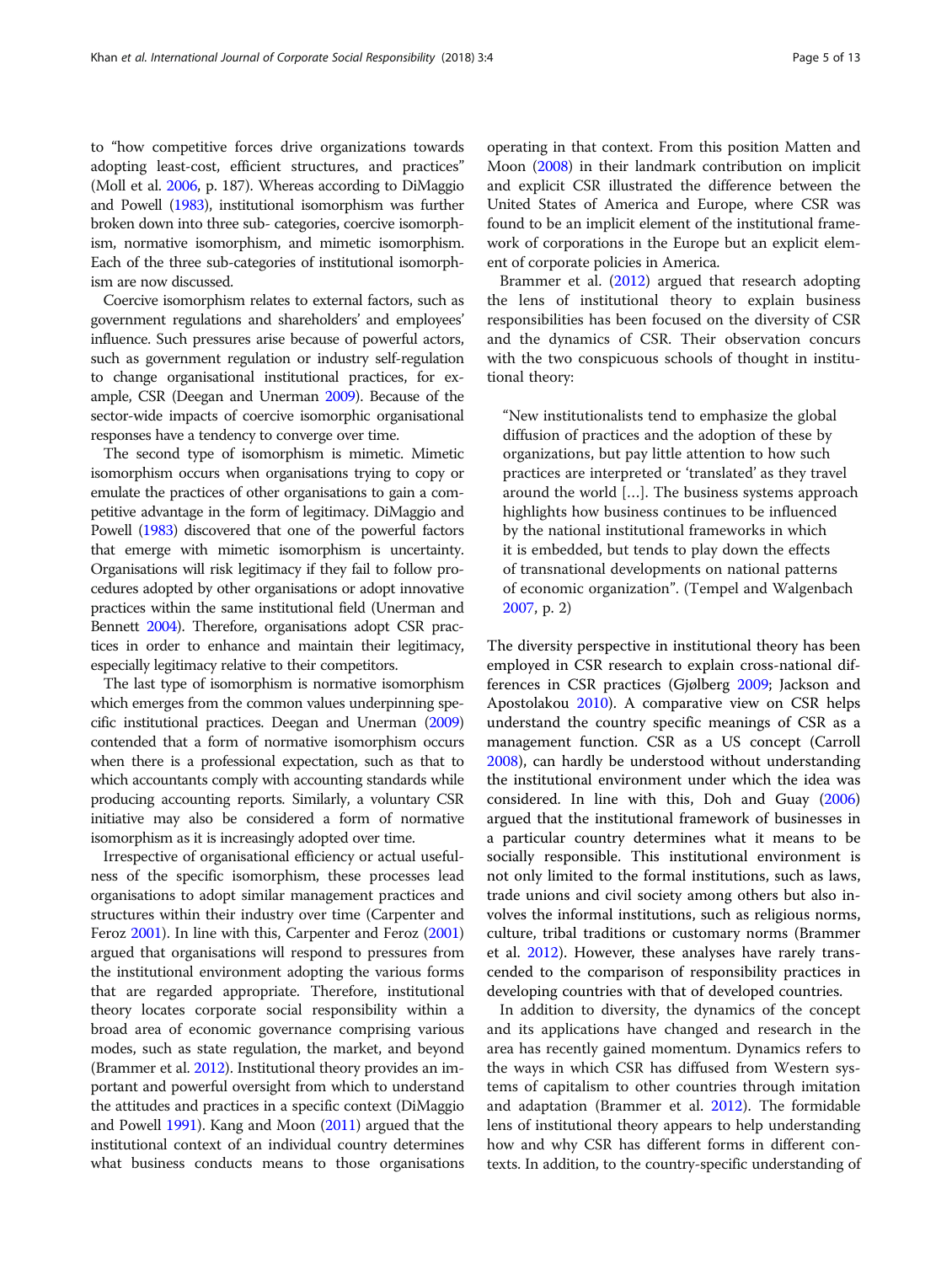to "how competitive forces drive organizations towards adopting least-cost, efficient structures, and practices" (Moll et al. [2006](#page-11-0), p. 187). Whereas according to DiMaggio and Powell [\(1983\)](#page-10-0), institutional isomorphism was further broken down into three sub- categories, coercive isomorphism, normative isomorphism, and mimetic isomorphism. Each of the three sub-categories of institutional isomorphism are now discussed.

Coercive isomorphism relates to external factors, such as government regulations and shareholders' and employees' influence. Such pressures arise because of powerful actors, such as government regulation or industry self-regulation to change organisational institutional practices, for example, CSR (Deegan and Unerman [2009](#page-10-0)). Because of the sector-wide impacts of coercive isomorphic organisational responses have a tendency to converge over time.

The second type of isomorphism is mimetic. Mimetic isomorphism occurs when organisations trying to copy or emulate the practices of other organisations to gain a competitive advantage in the form of legitimacy. DiMaggio and Powell [\(1983](#page-10-0)) discovered that one of the powerful factors that emerge with mimetic isomorphism is uncertainty. Organisations will risk legitimacy if they fail to follow procedures adopted by other organisations or adopt innovative practices within the same institutional field (Unerman and Bennett [2004\)](#page-12-0). Therefore, organisations adopt CSR practices in order to enhance and maintain their legitimacy, especially legitimacy relative to their competitors.

The last type of isomorphism is normative isomorphism which emerges from the common values underpinning specific institutional practices. Deegan and Unerman [\(2009](#page-10-0)) contended that a form of normative isomorphism occurs when there is a professional expectation, such as that to which accountants comply with accounting standards while producing accounting reports. Similarly, a voluntary CSR initiative may also be considered a form of normative isomorphism as it is increasingly adopted over time.

Irrespective of organisational efficiency or actual usefulness of the specific isomorphism, these processes lead organisations to adopt similar management practices and structures within their industry over time (Carpenter and Feroz [2001](#page-10-0)). In line with this, Carpenter and Feroz [\(2001](#page-10-0)) argued that organisations will respond to pressures from the institutional environment adopting the various forms that are regarded appropriate. Therefore, institutional theory locates corporate social responsibility within a broad area of economic governance comprising various modes, such as state regulation, the market, and beyond (Brammer et al. [2012\)](#page-10-0). Institutional theory provides an important and powerful oversight from which to understand the attitudes and practices in a specific context (DiMaggio and Powell [1991](#page-10-0)). Kang and Moon ([2011\)](#page-11-0) argued that the institutional context of an individual country determines what business conducts means to those organisations operating in that context. From this position Matten and Moon [\(2008\)](#page-11-0) in their landmark contribution on implicit and explicit CSR illustrated the difference between the United States of America and Europe, where CSR was found to be an implicit element of the institutional framework of corporations in the Europe but an explicit element of corporate policies in America.

Brammer et al. [\(2012\)](#page-10-0) argued that research adopting the lens of institutional theory to explain business responsibilities has been focused on the diversity of CSR and the dynamics of CSR. Their observation concurs with the two conspicuous schools of thought in institutional theory:

"New institutionalists tend to emphasize the global diffusion of practices and the adoption of these by organizations, but pay little attention to how such practices are interpreted or 'translated' as they travel around the world […]. The business systems approach highlights how business continues to be influenced by the national institutional frameworks in which it is embedded, but tends to play down the effects of transnational developments on national patterns of economic organization". (Tempel and Walgenbach [2007](#page-12-0), p. 2)

The diversity perspective in institutional theory has been employed in CSR research to explain cross-national differences in CSR practices (Gjølberg [2009](#page-11-0); Jackson and Apostolakou [2010\)](#page-11-0). A comparative view on CSR helps understand the country specific meanings of CSR as a management function. CSR as a US concept (Carroll [2008](#page-10-0)), can hardly be understood without understanding the institutional environment under which the idea was considered. In line with this, Doh and Guay ([2006](#page-11-0)) argued that the institutional framework of businesses in a particular country determines what it means to be socially responsible. This institutional environment is not only limited to the formal institutions, such as laws, trade unions and civil society among others but also involves the informal institutions, such as religious norms, culture, tribal traditions or customary norms (Brammer et al. [2012\)](#page-10-0). However, these analyses have rarely transcended to the comparison of responsibility practices in developing countries with that of developed countries.

In addition to diversity, the dynamics of the concept and its applications have changed and research in the area has recently gained momentum. Dynamics refers to the ways in which CSR has diffused from Western systems of capitalism to other countries through imitation and adaptation (Brammer et al. [2012\)](#page-10-0). The formidable lens of institutional theory appears to help understanding how and why CSR has different forms in different contexts. In addition, to the country-specific understanding of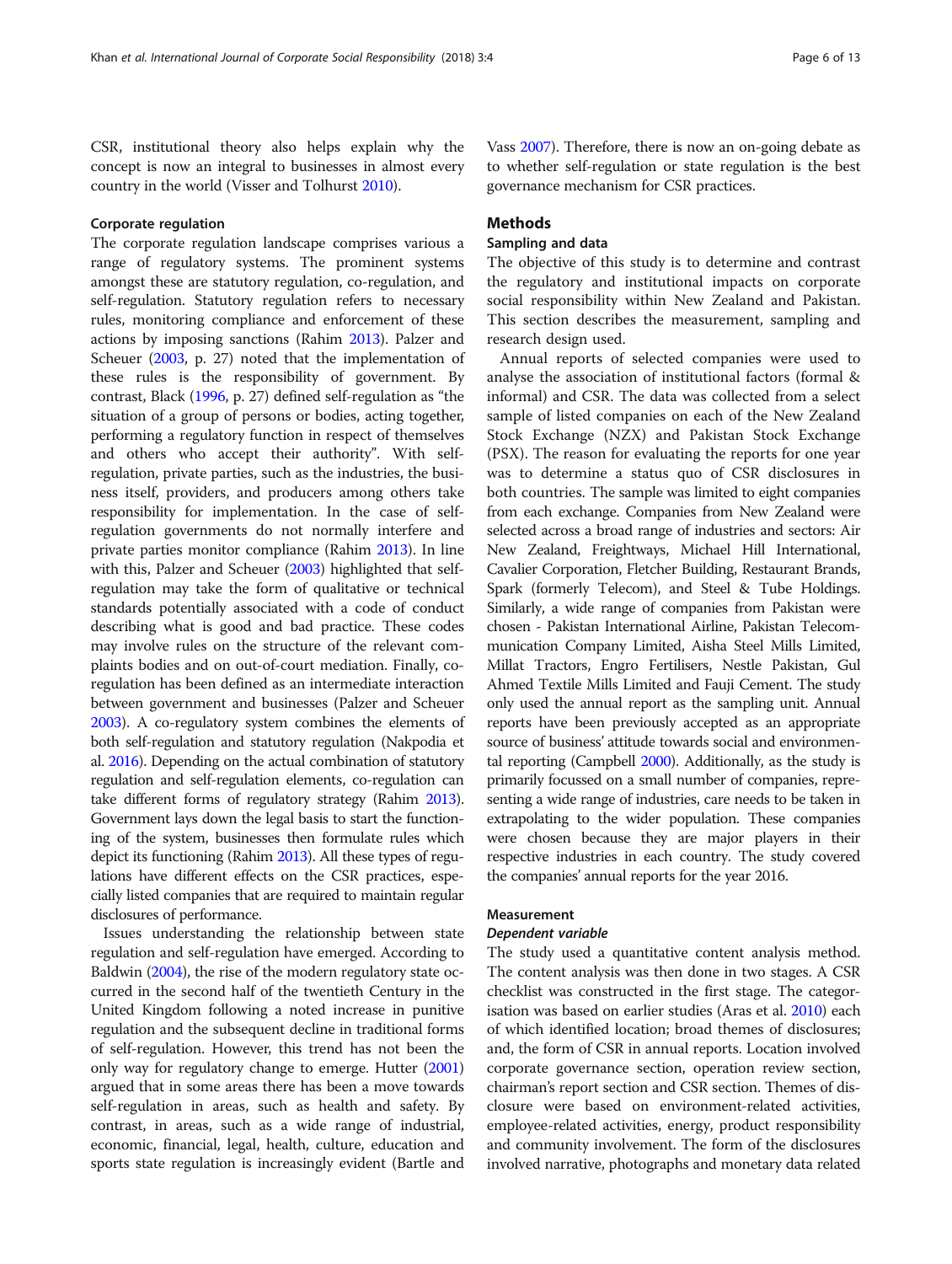CSR, institutional theory also helps explain why the concept is now an integral to businesses in almost every country in the world (Visser and Tolhurst [2010\)](#page-12-0).

## Corporate regulation

The corporate regulation landscape comprises various a range of regulatory systems. The prominent systems amongst these are statutory regulation, co-regulation, and self-regulation. Statutory regulation refers to necessary rules, monitoring compliance and enforcement of these actions by imposing sanctions (Rahim [2013\)](#page-12-0). Palzer and Scheuer [\(2003](#page-11-0), p. 27) noted that the implementation of these rules is the responsibility of government. By contrast, Black ([1996,](#page-10-0) p. 27) defined self-regulation as "the situation of a group of persons or bodies, acting together, performing a regulatory function in respect of themselves and others who accept their authority". With selfregulation, private parties, such as the industries, the business itself, providers, and producers among others take responsibility for implementation. In the case of selfregulation governments do not normally interfere and private parties monitor compliance (Rahim [2013](#page-12-0)). In line with this, Palzer and Scheuer [\(2003](#page-11-0)) highlighted that selfregulation may take the form of qualitative or technical standards potentially associated with a code of conduct describing what is good and bad practice. These codes may involve rules on the structure of the relevant complaints bodies and on out-of-court mediation. Finally, coregulation has been defined as an intermediate interaction between government and businesses (Palzer and Scheuer [2003\)](#page-11-0). A co-regulatory system combines the elements of both self-regulation and statutory regulation (Nakpodia et al. [2016\)](#page-11-0). Depending on the actual combination of statutory regulation and self-regulation elements, co-regulation can take different forms of regulatory strategy (Rahim [2013](#page-12-0)). Government lays down the legal basis to start the functioning of the system, businesses then formulate rules which depict its functioning (Rahim [2013](#page-12-0)). All these types of regulations have different effects on the CSR practices, especially listed companies that are required to maintain regular disclosures of performance.

Issues understanding the relationship between state regulation and self-regulation have emerged. According to Baldwin ([2004](#page-10-0)), the rise of the modern regulatory state occurred in the second half of the twentieth Century in the United Kingdom following a noted increase in punitive regulation and the subsequent decline in traditional forms of self-regulation. However, this trend has not been the only way for regulatory change to emerge. Hutter [\(2001](#page-11-0)) argued that in some areas there has been a move towards self-regulation in areas, such as health and safety. By contrast, in areas, such as a wide range of industrial, economic, financial, legal, health, culture, education and sports state regulation is increasingly evident (Bartle and Vass [2007\)](#page-10-0). Therefore, there is now an on-going debate as to whether self-regulation or state regulation is the best governance mechanism for CSR practices.

## **Methods**

## Sampling and data

The objective of this study is to determine and contrast the regulatory and institutional impacts on corporate social responsibility within New Zealand and Pakistan. This section describes the measurement, sampling and research design used.

Annual reports of selected companies were used to analyse the association of institutional factors (formal & informal) and CSR. The data was collected from a select sample of listed companies on each of the New Zealand Stock Exchange (NZX) and Pakistan Stock Exchange (PSX). The reason for evaluating the reports for one year was to determine a status quo of CSR disclosures in both countries. The sample was limited to eight companies from each exchange. Companies from New Zealand were selected across a broad range of industries and sectors: Air New Zealand, Freightways, Michael Hill International, Cavalier Corporation, Fletcher Building, Restaurant Brands, Spark (formerly Telecom), and Steel & Tube Holdings. Similarly, a wide range of companies from Pakistan were chosen - Pakistan International Airline, Pakistan Telecommunication Company Limited, Aisha Steel Mills Limited, Millat Tractors, Engro Fertilisers, Nestle Pakistan, Gul Ahmed Textile Mills Limited and Fauji Cement. The study only used the annual report as the sampling unit. Annual reports have been previously accepted as an appropriate source of business' attitude towards social and environmental reporting (Campbell [2000\)](#page-10-0). Additionally, as the study is primarily focussed on a small number of companies, representing a wide range of industries, care needs to be taken in extrapolating to the wider population. These companies were chosen because they are major players in their respective industries in each country. The study covered the companies' annual reports for the year 2016.

## Measurement

## Dependent variable

The study used a quantitative content analysis method. The content analysis was then done in two stages. A CSR checklist was constructed in the first stage. The categorisation was based on earlier studies (Aras et al. [2010](#page-10-0)) each of which identified location; broad themes of disclosures; and, the form of CSR in annual reports. Location involved corporate governance section, operation review section, chairman's report section and CSR section. Themes of disclosure were based on environment-related activities, employee-related activities, energy, product responsibility and community involvement. The form of the disclosures involved narrative, photographs and monetary data related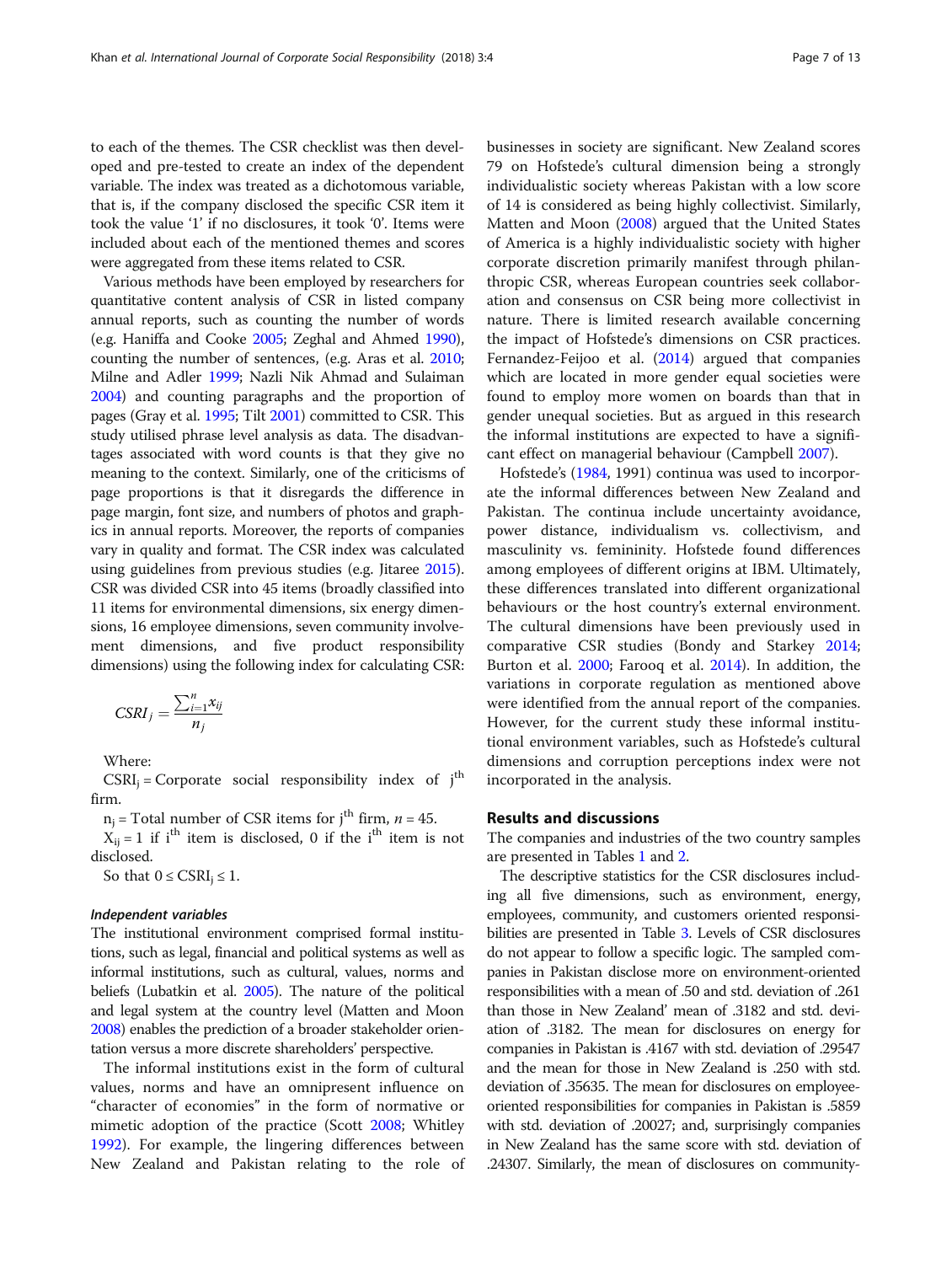to each of the themes. The CSR checklist was then developed and pre-tested to create an index of the dependent variable. The index was treated as a dichotomous variable, that is, if the company disclosed the specific CSR item it took the value '1' if no disclosures, it took '0'. Items were included about each of the mentioned themes and scores were aggregated from these items related to CSR.

Various methods have been employed by researchers for quantitative content analysis of CSR in listed company annual reports, such as counting the number of words (e.g. Haniffa and Cooke [2005](#page-11-0); Zeghal and Ahmed [1990](#page-12-0)), counting the number of sentences, (e.g. Aras et al. [2010](#page-10-0); Milne and Adler [1999;](#page-11-0) Nazli Nik Ahmad and Sulaiman [2004\)](#page-11-0) and counting paragraphs and the proportion of pages (Gray et al. [1995](#page-11-0); Tilt [2001](#page-12-0)) committed to CSR. This study utilised phrase level analysis as data. The disadvantages associated with word counts is that they give no meaning to the context. Similarly, one of the criticisms of page proportions is that it disregards the difference in page margin, font size, and numbers of photos and graphics in annual reports. Moreover, the reports of companies vary in quality and format. The CSR index was calculated using guidelines from previous studies (e.g. Jitaree [2015](#page-11-0)). CSR was divided CSR into 45 items (broadly classified into 11 items for environmental dimensions, six energy dimensions, 16 employee dimensions, seven community involvement dimensions, and five product responsibility dimensions) using the following index for calculating CSR:

$$
CSRI_j = \frac{\sum_{i=1}^n x_{ij}}{n_j}
$$

Where:

 $CSRI_i =$  Corporate social responsibility index of  $j<sup>th</sup>$ firm.

 $n_j$  = Total number of CSR items for j<sup>th</sup> firm,  $n = 45$ .

 $X_{ij} = 1$  if i<sup>th</sup> item is disclosed, 0 if the i<sup>th</sup> item is not disclosed.

So that  $0 \leq \text{CSRI}_i \leq 1$ .

### Independent variables

The institutional environment comprised formal institutions, such as legal, financial and political systems as well as informal institutions, such as cultural, values, norms and beliefs (Lubatkin et al. [2005](#page-11-0)). The nature of the political and legal system at the country level (Matten and Moon [2008\)](#page-11-0) enables the prediction of a broader stakeholder orientation versus a more discrete shareholders' perspective.

The informal institutions exist in the form of cultural values, norms and have an omnipresent influence on "character of economies" in the form of normative or mimetic adoption of the practice (Scott [2008](#page-12-0); Whitley [1992](#page-12-0)). For example, the lingering differences between New Zealand and Pakistan relating to the role of businesses in society are significant. New Zealand scores 79 on Hofstede's cultural dimension being a strongly individualistic society whereas Pakistan with a low score of 14 is considered as being highly collectivist. Similarly, Matten and Moon ([2008](#page-11-0)) argued that the United States of America is a highly individualistic society with higher corporate discretion primarily manifest through philanthropic CSR, whereas European countries seek collaboration and consensus on CSR being more collectivist in nature. There is limited research available concerning the impact of Hofstede's dimensions on CSR practices. Fernandez-Feijoo et al. ([2014\)](#page-11-0) argued that companies which are located in more gender equal societies were found to employ more women on boards than that in gender unequal societies. But as argued in this research the informal institutions are expected to have a significant effect on managerial behaviour (Campbell [2007](#page-10-0)).

Hofstede's [\(1984](#page-11-0), 1991) continua was used to incorporate the informal differences between New Zealand and Pakistan. The continua include uncertainty avoidance, power distance, individualism vs. collectivism, and masculinity vs. femininity. Hofstede found differences among employees of different origins at IBM. Ultimately, these differences translated into different organizational behaviours or the host country's external environment. The cultural dimensions have been previously used in comparative CSR studies (Bondy and Starkey [2014](#page-10-0); Burton et al. [2000](#page-10-0); Farooq et al. [2014](#page-11-0)). In addition, the variations in corporate regulation as mentioned above were identified from the annual report of the companies. However, for the current study these informal institutional environment variables, such as Hofstede's cultural dimensions and corruption perceptions index were not incorporated in the analysis.

## Results and discussions

The companies and industries of the two country samples are presented in Tables [1](#page-7-0) and [2](#page-7-0).

The descriptive statistics for the CSR disclosures including all five dimensions, such as environment, energy, employees, community, and customers oriented responsibilities are presented in Table [3.](#page-8-0) Levels of CSR disclosures do not appear to follow a specific logic. The sampled companies in Pakistan disclose more on environment-oriented responsibilities with a mean of .50 and std. deviation of .261 than those in New Zealand' mean of .3182 and std. deviation of .3182. The mean for disclosures on energy for companies in Pakistan is .4167 with std. deviation of .29547 and the mean for those in New Zealand is .250 with std. deviation of .35635. The mean for disclosures on employeeoriented responsibilities for companies in Pakistan is .5859 with std. deviation of .20027; and, surprisingly companies in New Zealand has the same score with std. deviation of .24307. Similarly, the mean of disclosures on community-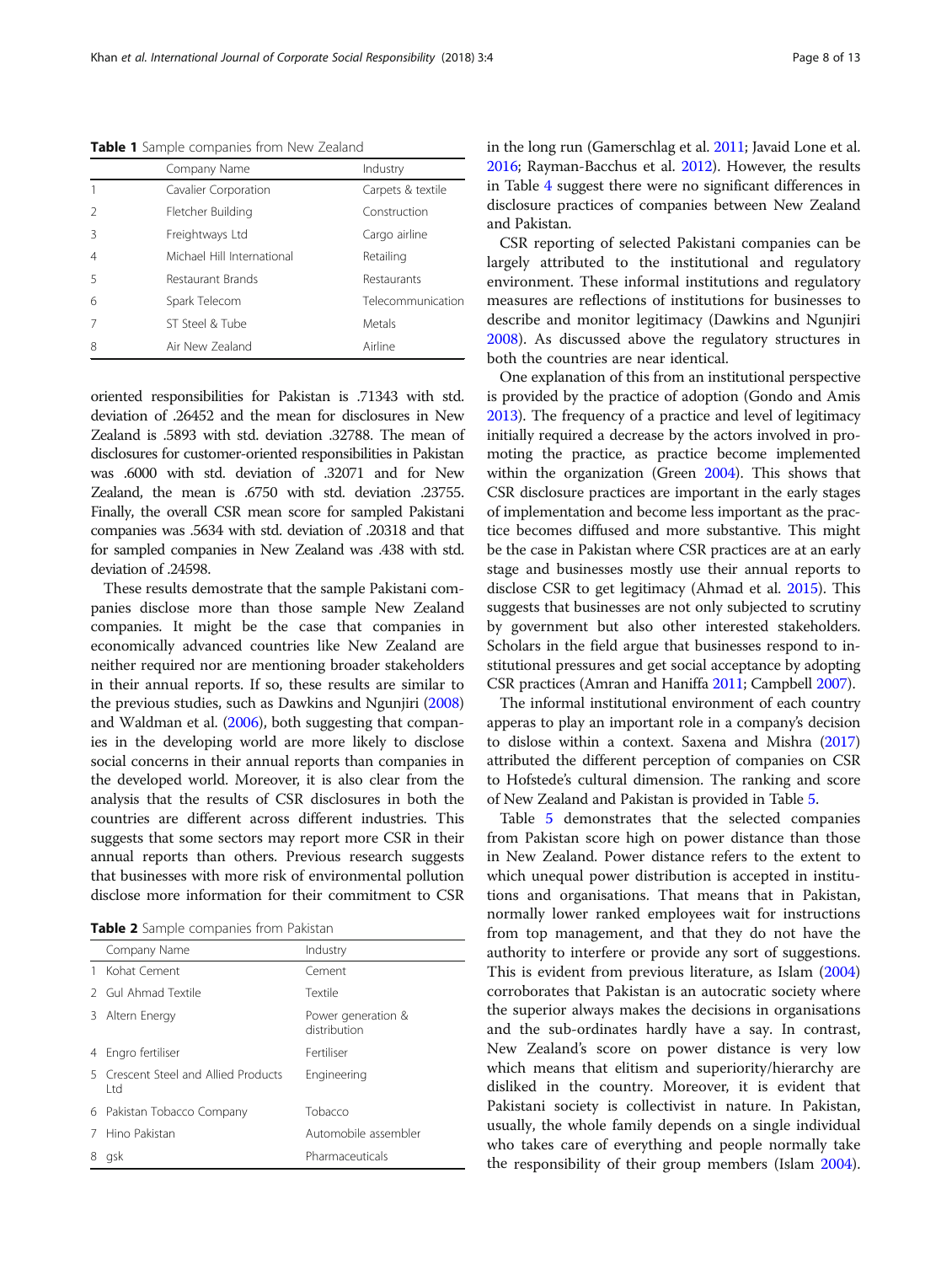<span id="page-7-0"></span>Table 1 Sample companies from New Zealand

|   | Company Name               | Industry          |
|---|----------------------------|-------------------|
|   | Cavalier Corporation       | Carpets & textile |
| 2 | Fletcher Building          | Construction      |
| ζ | Freightways Ltd            | Cargo airline     |
| 4 | Michael Hill International | Retailing         |
| 5 | Restaurant Brands          | Restaurants       |
| 6 | Spark Telecom              | Telecommunication |
|   | ST Steel & Tube            | Metals            |
| 8 | Air New Zealand            | Airline           |

oriented responsibilities for Pakistan is .71343 with std. deviation of .26452 and the mean for disclosures in New Zealand is .5893 with std. deviation .32788. The mean of disclosures for customer-oriented responsibilities in Pakistan was .6000 with std. deviation of .32071 and for New Zealand, the mean is .6750 with std. deviation .23755. Finally, the overall CSR mean score for sampled Pakistani companies was .5634 with std. deviation of .20318 and that for sampled companies in New Zealand was .438 with std. deviation of .24598.

These results demostrate that the sample Pakistani companies disclose more than those sample New Zealand companies. It might be the case that companies in economically advanced countries like New Zealand are neither required nor are mentioning broader stakeholders in their annual reports. If so, these results are similar to the previous studies, such as Dawkins and Ngunjiri [\(2008](#page-10-0)) and Waldman et al. [\(2006\)](#page-12-0), both suggesting that companies in the developing world are more likely to disclose social concerns in their annual reports than companies in the developed world. Moreover, it is also clear from the analysis that the results of CSR disclosures in both the countries are different across different industries. This suggests that some sectors may report more CSR in their annual reports than others. Previous research suggests that businesses with more risk of environmental pollution disclose more information for their commitment to CSR

Table 2 Sample companies from Pakistan

|    | Company Name                               | Industry                           |
|----|--------------------------------------------|------------------------------------|
|    | Kohat Cement                               | Cement                             |
|    | 2 Gul Ahmad Textile                        | Textile                            |
| 3. | Altern Energy                              | Power generation &<br>distribution |
|    | 4 Engro fertiliser                         | Fertiliser                         |
| 5. | Crescent Steel and Allied Products<br>l td | Engineering                        |
|    | 6 Pakistan Tobacco Company                 | Tobacco                            |
|    | Hino Pakistan                              | Automobile assembler               |
|    | gsk                                        | Pharmaceuticals                    |

in the long run (Gamerschlag et al. [2011](#page-11-0); Javaid Lone et al. [2016;](#page-11-0) Rayman-Bacchus et al. [2012\)](#page-12-0). However, the results in Table [4](#page-9-0) suggest there were no significant differences in disclosure practices of companies between New Zealand and Pakistan.

CSR reporting of selected Pakistani companies can be largely attributed to the institutional and regulatory environment. These informal institutions and regulatory measures are reflections of institutions for businesses to describe and monitor legitimacy (Dawkins and Ngunjiri [2008](#page-10-0)). As discussed above the regulatory structures in both the countries are near identical.

One explanation of this from an institutional perspective is provided by the practice of adoption (Gondo and Amis [2013\)](#page-11-0). The frequency of a practice and level of legitimacy initially required a decrease by the actors involved in promoting the practice, as practice become implemented within the organization (Green [2004](#page-11-0)). This shows that CSR disclosure practices are important in the early stages of implementation and become less important as the practice becomes diffused and more substantive. This might be the case in Pakistan where CSR practices are at an early stage and businesses mostly use their annual reports to disclose CSR to get legitimacy (Ahmad et al. [2015\)](#page-10-0). This suggests that businesses are not only subjected to scrutiny by government but also other interested stakeholders. Scholars in the field argue that businesses respond to institutional pressures and get social acceptance by adopting CSR practices (Amran and Haniffa [2011](#page-10-0); Campbell [2007](#page-10-0)).

The informal institutional environment of each country apperas to play an important role in a company's decision to dislose within a context. Saxena and Mishra [\(2017](#page-12-0)) attributed the different perception of companies on CSR to Hofstede's cultural dimension. The ranking and score of New Zealand and Pakistan is provided in Table [5](#page-9-0).

Table [5](#page-9-0) demonstrates that the selected companies from Pakistan score high on power distance than those in New Zealand. Power distance refers to the extent to which unequal power distribution is accepted in institutions and organisations. That means that in Pakistan, normally lower ranked employees wait for instructions from top management, and that they do not have the authority to interfere or provide any sort of suggestions. This is evident from previous literature, as Islam ([2004](#page-11-0)) corroborates that Pakistan is an autocratic society where the superior always makes the decisions in organisations and the sub-ordinates hardly have a say. In contrast, New Zealand's score on power distance is very low which means that elitism and superiority/hierarchy are disliked in the country. Moreover, it is evident that Pakistani society is collectivist in nature. In Pakistan, usually, the whole family depends on a single individual who takes care of everything and people normally take the responsibility of their group members (Islam [2004](#page-11-0)).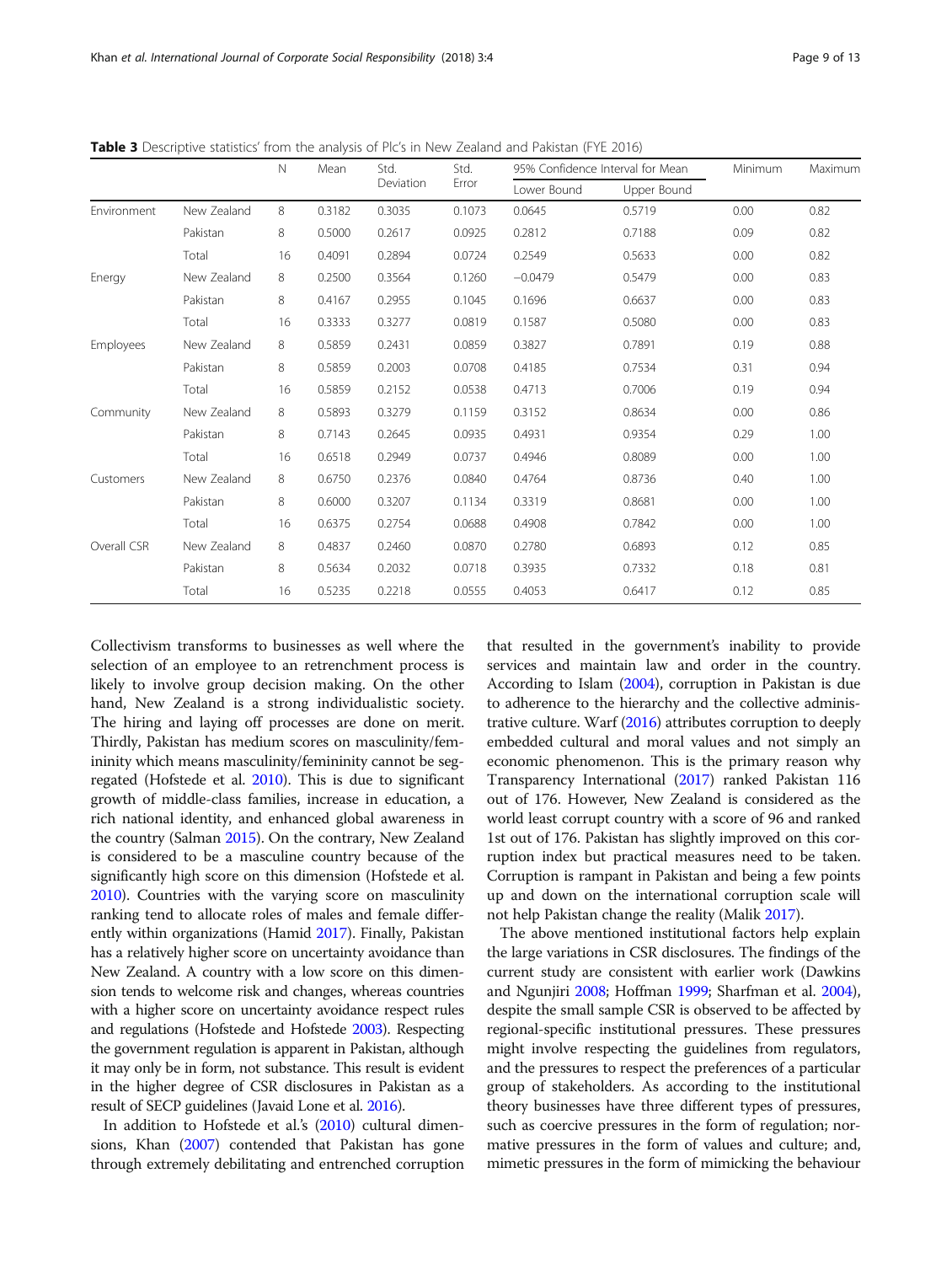|             |             | N  | Mean   | Std.<br>Deviation | Std.<br>Error | 95% Confidence Interval for Mean |             | Minimum | Maximum |
|-------------|-------------|----|--------|-------------------|---------------|----------------------------------|-------------|---------|---------|
|             |             |    |        |                   |               | Lower Bound                      | Upper Bound |         |         |
| Environment | New Zealand | 8  | 0.3182 | 0.3035            | 0.1073        | 0.0645                           | 0.5719      | 0.00    | 0.82    |
|             | Pakistan    | 8  | 0.5000 | 0.2617            | 0.0925        | 0.2812                           | 0.7188      | 0.09    | 0.82    |
|             | Total       | 16 | 0.4091 | 0.2894            | 0.0724        | 0.2549                           | 0.5633      | 0.00    | 0.82    |
| Energy      | New Zealand | 8  | 0.2500 | 0.3564            | 0.1260        | $-0.0479$                        | 0.5479      | 0.00    | 0.83    |
|             | Pakistan    | 8  | 0.4167 | 0.2955            | 0.1045        | 0.1696                           | 0.6637      | 0.00    | 0.83    |
|             | Total       | 16 | 0.3333 | 0.3277            | 0.0819        | 0.1587                           | 0.5080      | 0.00    | 0.83    |
| Employees   | New Zealand | 8  | 0.5859 | 0.2431            | 0.0859        | 0.3827                           | 0.7891      | 0.19    | 0.88    |
|             | Pakistan    | 8  | 0.5859 | 0.2003            | 0.0708        | 0.4185                           | 0.7534      | 0.31    | 0.94    |
|             | Total       | 16 | 0.5859 | 0.2152            | 0.0538        | 0.4713                           | 0.7006      | 0.19    | 0.94    |
| Community   | New Zealand | 8  | 0.5893 | 0.3279            | 0.1159        | 0.3152                           | 0.8634      | 0.00    | 0.86    |
|             | Pakistan    | 8  | 0.7143 | 0.2645            | 0.0935        | 0.4931                           | 0.9354      | 0.29    | 1.00    |
|             | Total       | 16 | 0.6518 | 0.2949            | 0.0737        | 0.4946                           | 0.8089      | 0.00    | 1.00    |
| Customers   | New Zealand | 8  | 0.6750 | 0.2376            | 0.0840        | 0.4764                           | 0.8736      | 0.40    | 1.00    |
|             | Pakistan    | 8  | 0.6000 | 0.3207            | 0.1134        | 0.3319                           | 0.8681      | 0.00    | 1.00    |
|             | Total       | 16 | 0.6375 | 0.2754            | 0.0688        | 0.4908                           | 0.7842      | 0.00    | 1.00    |
| Overall CSR | New Zealand | 8  | 0.4837 | 0.2460            | 0.0870        | 0.2780                           | 0.6893      | 0.12    | 0.85    |
|             | Pakistan    | 8  | 0.5634 | 0.2032            | 0.0718        | 0.3935                           | 0.7332      | 0.18    | 0.81    |
|             | Total       | 16 | 0.5235 | 0.2218            | 0.0555        | 0.4053                           | 0.6417      | 0.12    | 0.85    |

<span id="page-8-0"></span>Table 3 Descriptive statistics' from the analysis of Plc's in New Zealand and Pakistan (FYE 2016)

Collectivism transforms to businesses as well where the selection of an employee to an retrenchment process is likely to involve group decision making. On the other hand, New Zealand is a strong individualistic society. The hiring and laying off processes are done on merit. Thirdly, Pakistan has medium scores on masculinity/femininity which means masculinity/femininity cannot be segregated (Hofstede et al. [2010\)](#page-11-0). This is due to significant growth of middle-class families, increase in education, a rich national identity, and enhanced global awareness in the country (Salman [2015](#page-12-0)). On the contrary, New Zealand is considered to be a masculine country because of the significantly high score on this dimension (Hofstede et al. [2010\)](#page-11-0). Countries with the varying score on masculinity ranking tend to allocate roles of males and female differently within organizations (Hamid [2017](#page-11-0)). Finally, Pakistan has a relatively higher score on uncertainty avoidance than New Zealand. A country with a low score on this dimension tends to welcome risk and changes, whereas countries with a higher score on uncertainty avoidance respect rules and regulations (Hofstede and Hofstede [2003](#page-11-0)). Respecting the government regulation is apparent in Pakistan, although it may only be in form, not substance. This result is evident in the higher degree of CSR disclosures in Pakistan as a result of SECP guidelines (Javaid Lone et al. [2016\)](#page-11-0).

In addition to Hofstede et al.'s [\(2010](#page-11-0)) cultural dimensions, Khan [\(2007\)](#page-11-0) contended that Pakistan has gone through extremely debilitating and entrenched corruption

that resulted in the government's inability to provide services and maintain law and order in the country. According to Islam [\(2004\)](#page-11-0), corruption in Pakistan is due to adherence to the hierarchy and the collective administrative culture. Warf ([2016\)](#page-12-0) attributes corruption to deeply embedded cultural and moral values and not simply an economic phenomenon. This is the primary reason why Transparency International ([2017](#page-12-0)) ranked Pakistan 116 out of 176. However, New Zealand is considered as the world least corrupt country with a score of 96 and ranked 1st out of 176. Pakistan has slightly improved on this corruption index but practical measures need to be taken. Corruption is rampant in Pakistan and being a few points up and down on the international corruption scale will not help Pakistan change the reality (Malik [2017\)](#page-11-0).

The above mentioned institutional factors help explain the large variations in CSR disclosures. The findings of the current study are consistent with earlier work (Dawkins and Ngunjiri [2008](#page-10-0); Hoffman [1999](#page-11-0); Sharfman et al. [2004](#page-12-0)), despite the small sample CSR is observed to be affected by regional-specific institutional pressures. These pressures might involve respecting the guidelines from regulators, and the pressures to respect the preferences of a particular group of stakeholders. As according to the institutional theory businesses have three different types of pressures, such as coercive pressures in the form of regulation; normative pressures in the form of values and culture; and, mimetic pressures in the form of mimicking the behaviour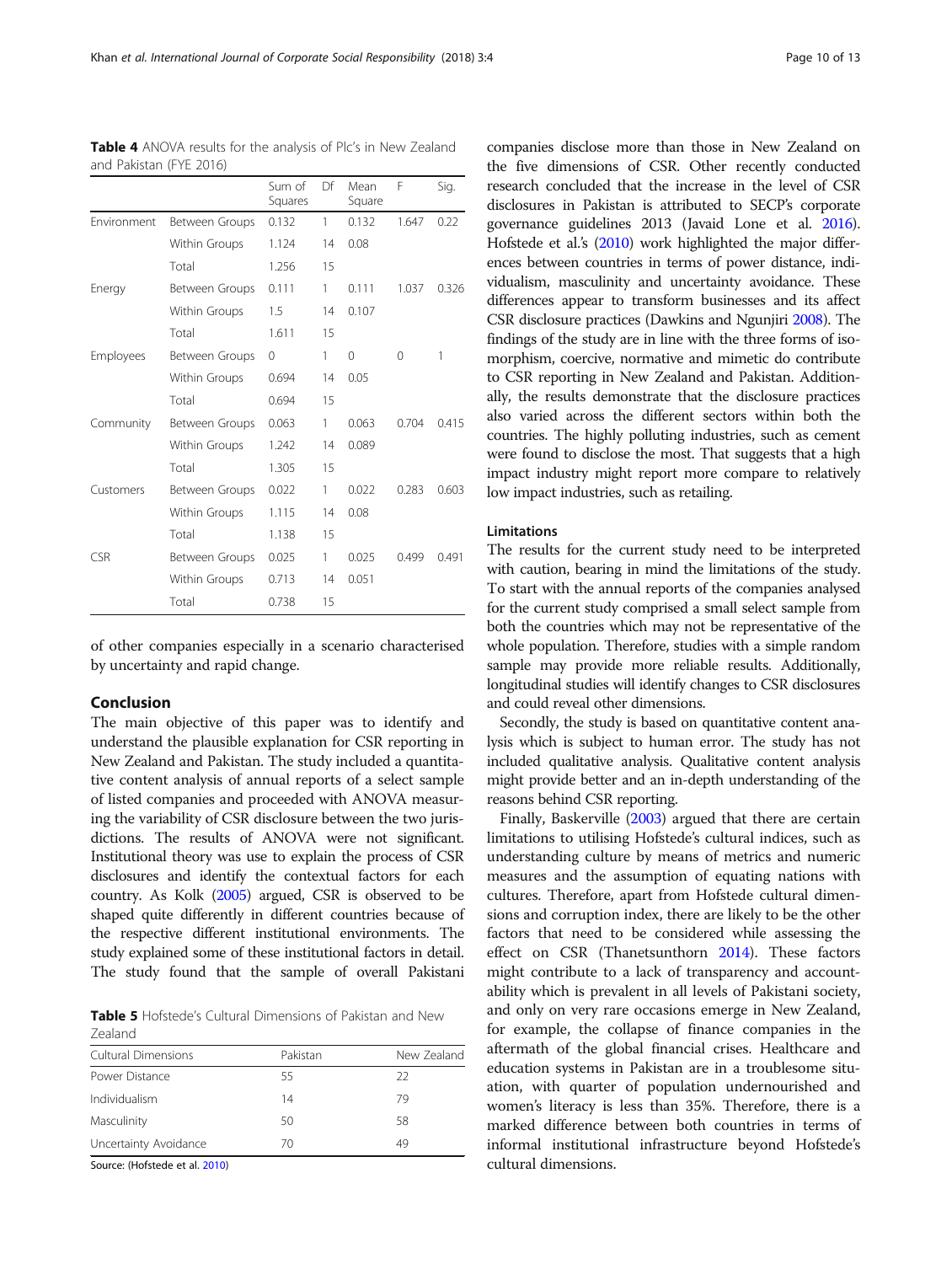of other companies especially in a scenario characterised by uncertainty and rapid change.

## Conclusion

The main objective of this paper was to identify and understand the plausible explanation for CSR reporting in New Zealand and Pakistan. The study included a quantitative content analysis of annual reports of a select sample of listed companies and proceeded with ANOVA measuring the variability of CSR disclosure between the two jurisdictions. The results of ANOVA were not significant. Institutional theory was use to explain the process of CSR disclosures and identify the contextual factors for each country. As Kolk [\(2005](#page-11-0)) argued, CSR is observed to be shaped quite differently in different countries because of the respective different institutional environments. The study explained some of these institutional factors in detail. The study found that the sample of overall Pakistani

Table 5 Hofstede's Cultural Dimensions of Pakistan and New Zealand

| Cultural Dimensions   | Pakistan | New Zealand |
|-----------------------|----------|-------------|
| Power Distance        | 55       | 22          |
| Individualism         | 14       | 79          |
| Masculinity           | 50       | 58          |
| Uncertainty Avoidance | 70       | 49          |
|                       |          |             |

Source: (Hofstede et al. [2010](#page-11-0))

companies disclose more than those in New Zealand on the five dimensions of CSR. Other recently conducted research concluded that the increase in the level of CSR disclosures in Pakistan is attributed to SECP's corporate governance guidelines 2013 (Javaid Lone et al. [2016](#page-11-0)). Hofstede et al.'s ([2010\)](#page-11-0) work highlighted the major differences between countries in terms of power distance, individualism, masculinity and uncertainty avoidance. These differences appear to transform businesses and its affect CSR disclosure practices (Dawkins and Ngunjiri [2008\)](#page-10-0). The findings of the study are in line with the three forms of isomorphism, coercive, normative and mimetic do contribute to CSR reporting in New Zealand and Pakistan. Additionally, the results demonstrate that the disclosure practices also varied across the different sectors within both the countries. The highly polluting industries, such as cement were found to disclose the most. That suggests that a high impact industry might report more compare to relatively low impact industries, such as retailing.

## Limitations

The results for the current study need to be interpreted with caution, bearing in mind the limitations of the study. To start with the annual reports of the companies analysed for the current study comprised a small select sample from both the countries which may not be representative of the whole population. Therefore, studies with a simple random sample may provide more reliable results. Additionally, longitudinal studies will identify changes to CSR disclosures and could reveal other dimensions.

Secondly, the study is based on quantitative content analysis which is subject to human error. The study has not included qualitative analysis. Qualitative content analysis might provide better and an in-depth understanding of the reasons behind CSR reporting.

Finally, Baskerville ([2003\)](#page-10-0) argued that there are certain limitations to utilising Hofstede's cultural indices, such as understanding culture by means of metrics and numeric measures and the assumption of equating nations with cultures. Therefore, apart from Hofstede cultural dimensions and corruption index, there are likely to be the other factors that need to be considered while assessing the effect on CSR (Thanetsunthorn [2014](#page-12-0)). These factors might contribute to a lack of transparency and accountability which is prevalent in all levels of Pakistani society, and only on very rare occasions emerge in New Zealand, for example, the collapse of finance companies in the aftermath of the global financial crises. Healthcare and education systems in Pakistan are in a troublesome situation, with quarter of population undernourished and women's literacy is less than 35%. Therefore, there is a marked difference between both countries in terms of informal institutional infrastructure beyond Hofstede's cultural dimensions.

Table 4 ANOVA results for the analysis of Plc's in New Zealand and Pakistan (FYE 2016)

Sum of

Df Mean

F Sig.

<span id="page-9-0"></span>

| Khan et al. International Journal of Corporate Social Responsibility (2018) 3:4 | Page 10 of 13 |
|---------------------------------------------------------------------------------|---------------|
|---------------------------------------------------------------------------------|---------------|

|             |                | Squares  |    | Square |          |       |
|-------------|----------------|----------|----|--------|----------|-------|
| Environment | Between Groups | 0.132    | 1  | 0.132  | 1.647    | 0.22  |
|             | Within Groups  | 1.124    | 14 | 0.08   |          |       |
|             | Total          | 1.256    | 15 |        |          |       |
| Energy      | Between Groups | 0.111    | 1  | 0.111  | 1.037    | 0.326 |
|             | Within Groups  | 1.5      | 14 | 0.107  |          |       |
|             | Total          | 1.611    | 15 |        |          |       |
| Employees   | Between Groups | $\Omega$ | 1  | 0      | $\Omega$ | 1     |
|             | Within Groups  | 0.694    | 14 | 0.05   |          |       |
|             | Total          | 0.694    | 15 |        |          |       |
| Community   | Between Groups | 0.063    | 1  | 0.063  | 0.704    | 0.415 |
|             | Within Groups  | 1.242    | 14 | 0.089  |          |       |
|             | Total          | 1.305    | 15 |        |          |       |
| Customers   | Between Groups | 0.022    | 1  | 0.022  | 0.283    | 0.603 |
|             | Within Groups  | 1.115    | 14 | 0.08   |          |       |
|             | Total          | 1.138    | 15 |        |          |       |
| <b>CSR</b>  | Between Groups | 0.025    | 1  | 0.025  | 0.499    | 0.491 |
|             | Within Groups  | 0.713    | 14 | 0.051  |          |       |
|             | Total          | 0.738    | 15 |        |          |       |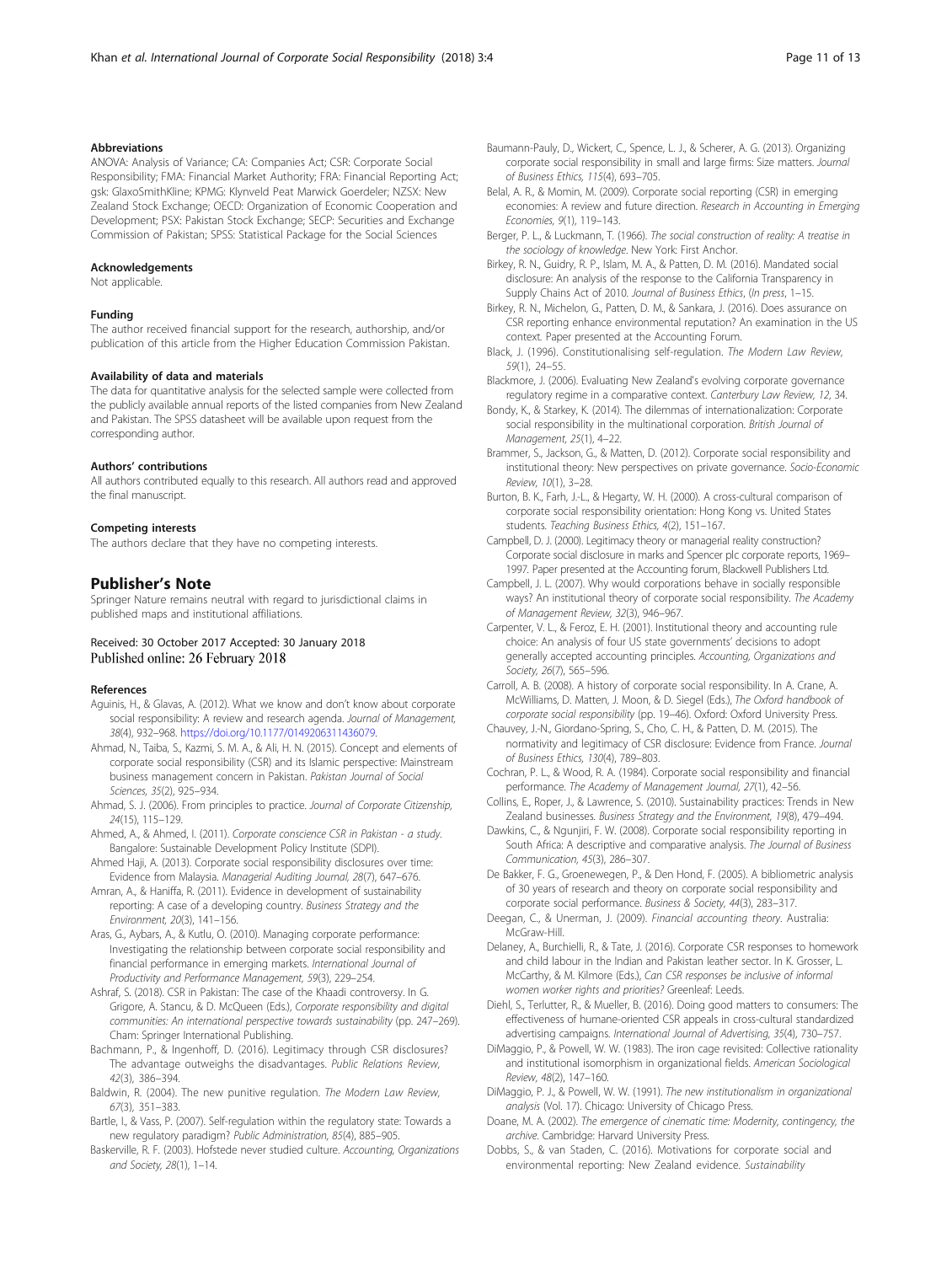## <span id="page-10-0"></span>Abbreviations

ANOVA: Analysis of Variance; CA: Companies Act; CSR: Corporate Social Responsibility; FMA: Financial Market Authority; FRA: Financial Reporting Act; gsk: GlaxoSmithKline; KPMG: Klynveld Peat Marwick Goerdeler; NZSX: New Zealand Stock Exchange; OECD: Organization of Economic Cooperation and Development; PSX: Pakistan Stock Exchange; SECP: Securities and Exchange Commission of Pakistan; SPSS: Statistical Package for the Social Sciences

#### Acknowledgements

Not applicable.

### Funding

The author received financial support for the research, authorship, and/or publication of this article from the Higher Education Commission Pakistan.

#### Availability of data and materials

The data for quantitative analysis for the selected sample were collected from the publicly available annual reports of the listed companies from New Zealand and Pakistan. The SPSS datasheet will be available upon request from the corresponding author.

#### Authors' contributions

All authors contributed equally to this research. All authors read and approved the final manuscript.

#### Competing interests

The authors declare that they have no competing interests.

#### Publisher's Note

Springer Nature remains neutral with regard to jurisdictional claims in published maps and institutional affiliations.

#### Received: 30 October 2017 Accepted: 30 January 2018 Published online: 26 February 2018

#### References

- Aguinis, H., & Glavas, A. (2012). What we know and don't know about corporate social responsibility: A review and research agenda. Journal of Management, 38(4), 932–968. [https://doi.org/10.1177/0149206311436079.](https://doi.org/10.1177/0149206311436079)
- Ahmad, N., Taiba, S., Kazmi, S. M. A., & Ali, H. N. (2015). Concept and elements of corporate social responsibility (CSR) and its Islamic perspective: Mainstream business management concern in Pakistan. Pakistan Journal of Social Sciences, 35(2), 925–934.
- Ahmad, S. J. (2006). From principles to practice. Journal of Corporate Citizenship, 24(15), 115–129.
- Ahmed, A., & Ahmed, I. (2011). Corporate conscience CSR in Pakistan a study. Bangalore: Sustainable Development Policy Institute (SDPI).
- Ahmed Haji, A. (2013). Corporate social responsibility disclosures over time: Evidence from Malaysia. Managerial Auditing Journal, 28(7), 647–676.
- Amran, A., & Haniffa, R. (2011). Evidence in development of sustainability reporting: A case of a developing country. Business Strategy and the Environment, 20(3), 141–156.

Aras, G., Aybars, A., & Kutlu, O. (2010). Managing corporate performance: Investigating the relationship between corporate social responsibility and financial performance in emerging markets. International Journal of Productivity and Performance Management, 59(3), 229–254.

- Ashraf, S. (2018). CSR in Pakistan: The case of the Khaadi controversy. In G. Grigore, A. Stancu, & D. McQueen (Eds.), Corporate responsibility and digital communities: An international perspective towards sustainability (pp. 247–269). Cham: Springer International Publishing.
- Bachmann, P., & Ingenhoff, D. (2016). Legitimacy through CSR disclosures? The advantage outweighs the disadvantages. Public Relations Review, 42(3), 386–394.
- Baldwin, R. (2004). The new punitive regulation. The Modern Law Review, 67(3), 351–383.
- Bartle, I., & Vass, P. (2007). Self-regulation within the regulatory state: Towards a new regulatory paradigm? Public Administration, 85(4), 885–905.
- Baskerville, R. F. (2003). Hofstede never studied culture. Accounting, Organizations and Society, 28(1), 1–14.
- Baumann-Pauly, D., Wickert, C., Spence, L. J., & Scherer, A. G. (2013). Organizing corporate social responsibility in small and large firms: Size matters. Journal of Business Ethics, 115(4), 693–705.
- Belal, A. R., & Momin, M. (2009). Corporate social reporting (CSR) in emerging economies: A review and future direction. Research in Accounting in Emerging Economies, 9(1), 119–143.
- Berger, P. L., & Luckmann, T. (1966). The social construction of reality: A treatise in the sociology of knowledge. New York: First Anchor.

Birkey, R. N., Guidry, R. P., Islam, M. A., & Patten, D. M. (2016). Mandated social disclosure: An analysis of the response to the California Transparency in Supply Chains Act of 2010. Journal of Business Ethics, (In press, 1–15.

Birkey, R. N., Michelon, G., Patten, D. M., & Sankara, J. (2016). Does assurance on CSR reporting enhance environmental reputation? An examination in the US context. Paper presented at the Accounting Forum.

- Black, J. (1996). Constitutionalising self-regulation. The Modern Law Review, 59(1), 24–55.
- Blackmore, J. (2006). Evaluating New Zealand's evolving corporate governance regulatory regime in a comparative context. Canterbury Law Review, 12, 34.
- Bondy, K., & Starkey, K. (2014). The dilemmas of internationalization: Corporate social responsibility in the multinational corporation. British Journal of Management, 25(1), 4–22.
- Brammer, S., Jackson, G., & Matten, D. (2012). Corporate social responsibility and institutional theory: New perspectives on private governance. Socio-Economic Review, 10(1), 3–28.
- Burton, B. K., Farh, J.-L., & Hegarty, W. H. (2000). A cross-cultural comparison of corporate social responsibility orientation: Hong Kong vs. United States students. Teaching Business Ethics, 4(2), 151–167.
- Campbell, D. J. (2000). Legitimacy theory or managerial reality construction? Corporate social disclosure in marks and Spencer plc corporate reports, 1969– 1997. Paper presented at the Accounting forum, Blackwell Publishers Ltd.
- Campbell, J. L. (2007). Why would corporations behave in socially responsible ways? An institutional theory of corporate social responsibility. The Academy of Management Review, 32(3), 946–967.
- Carpenter, V. L., & Feroz, E. H. (2001). Institutional theory and accounting rule choice: An analysis of four US state governments' decisions to adopt generally accepted accounting principles. Accounting, Organizations and Society, 26(7), 565–596.
- Carroll, A. B. (2008). A history of corporate social responsibility. In A. Crane, A. McWilliams, D. Matten, J. Moon, & D. Siegel (Eds.), The Oxford handbook of corporate social responsibility (pp. 19–46). Oxford: Oxford University Press.
- Chauvey, J.-N., Giordano-Spring, S., Cho, C. H., & Patten, D. M. (2015). The normativity and legitimacy of CSR disclosure: Evidence from France. Journal of Business Ethics, 130(4), 789–803.
- Cochran, P. L., & Wood, R. A. (1984). Corporate social responsibility and financial performance. The Academy of Management Journal, 27(1), 42–56.
- Collins, E., Roper, J., & Lawrence, S. (2010). Sustainability practices: Trends in New Zealand businesses. Business Strategy and the Environment, 19(8), 479–494.
- Dawkins, C., & Ngunjiri, F. W. (2008). Corporate social responsibility reporting in South Africa: A descriptive and comparative analysis. The Journal of Business Communication, 45(3), 286–307.
- De Bakker, F. G., Groenewegen, P., & Den Hond, F. (2005). A bibliometric analysis of 30 years of research and theory on corporate social responsibility and corporate social performance. Business & Society, 44(3), 283–317.
- Deegan, C., & Unerman, J. (2009). Financial accounting theory. Australia: McGraw-Hill.
- Delaney, A., Burchielli, R., & Tate, J. (2016). Corporate CSR responses to homework and child labour in the Indian and Pakistan leather sector. In K. Grosser, L. McCarthy, & M. Kilmore (Eds.), Can CSR responses be inclusive of informal women worker rights and priorities? Greenleaf: Leeds.
- Diehl, S., Terlutter, R., & Mueller, B. (2016). Doing good matters to consumers: The effectiveness of humane-oriented CSR appeals in cross-cultural standardized advertising campaigns. International Journal of Advertising, 35(4), 730–757.
- DiMaggio, P., & Powell, W. W. (1983). The iron cage revisited: Collective rationality and institutional isomorphism in organizational fields. American Sociological Review, 48(2), 147–160.
- DiMaggio, P. J., & Powell, W. W. (1991). The new institutionalism in organizational analysis (Vol. 17). Chicago: University of Chicago Press.
- Doane, M. A. (2002). The emergence of cinematic time: Modernity, contingency, the archive. Cambridge: Harvard University Press.
- Dobbs, S., & van Staden, C. (2016). Motivations for corporate social and environmental reporting: New Zealand evidence. Sustainability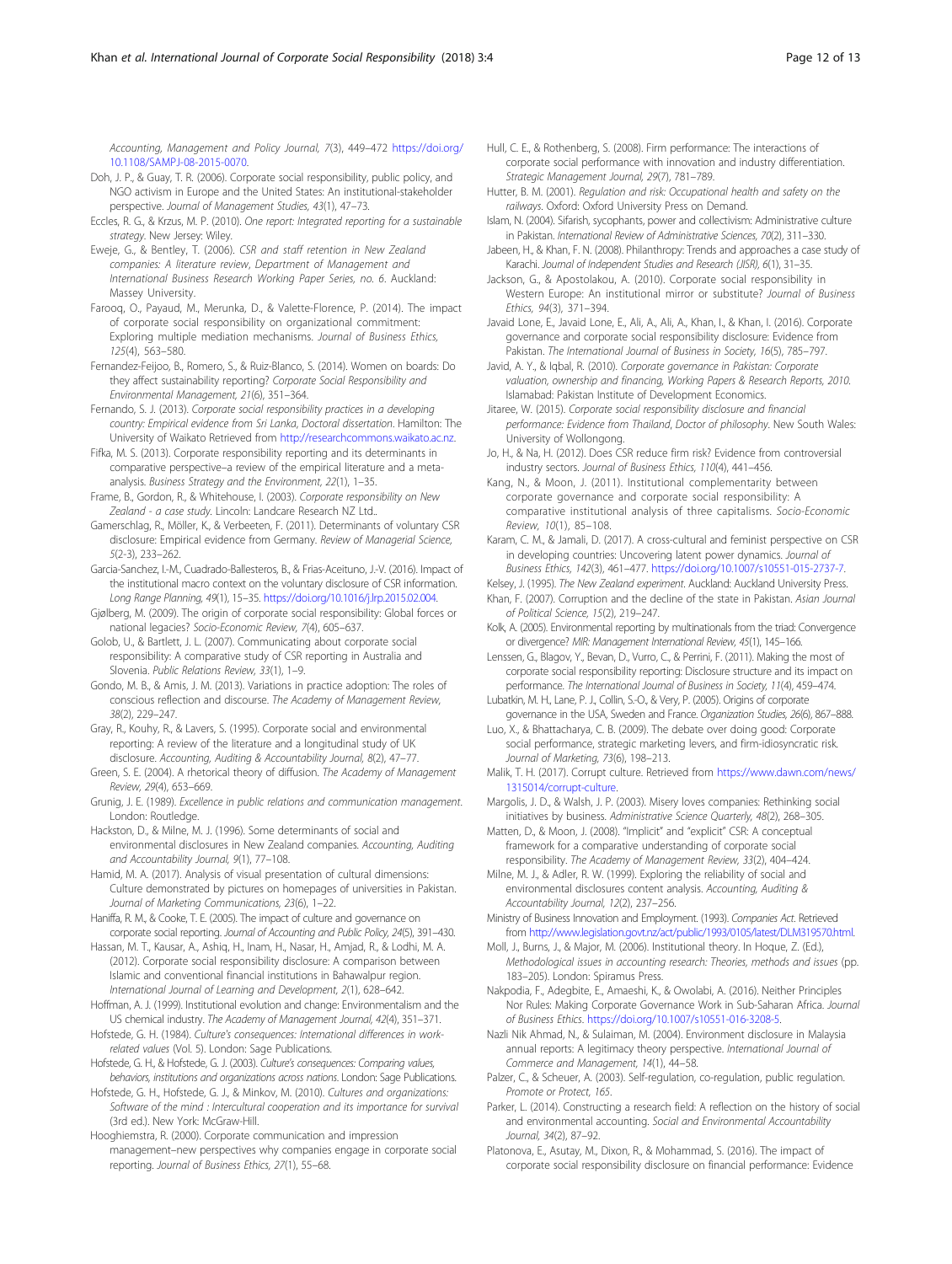<span id="page-11-0"></span>Accounting, Management and Policy Journal, 7(3), 449–472 [https://doi.org/](https://doi.org/10.1108/SAMPJ-08-2015-0070) [10.1108/SAMPJ-08-2015-0070](https://doi.org/10.1108/SAMPJ-08-2015-0070).

- Doh, J. P., & Guay, T. R. (2006). Corporate social responsibility, public policy, and NGO activism in Europe and the United States: An institutional-stakeholder perspective. Journal of Management Studies, 43(1), 47–73.
- Eccles, R. G., & Krzus, M. P. (2010). One report: Integrated reporting for a sustainable strategy. New Jersey: Wiley.
- Eweje, G., & Bentley, T. (2006). CSR and staff retention in New Zealand companies: A literature review, Department of Management and International Business Research Working Paper Series, no. 6. Auckland: Massey University.

Farooq, O., Payaud, M., Merunka, D., & Valette-Florence, P. (2014). The impact of corporate social responsibility on organizational commitment: Exploring multiple mediation mechanisms. Journal of Business Ethics, 125(4), 563–580.

Fernandez-Feijoo, B., Romero, S., & Ruiz-Blanco, S. (2014). Women on boards: Do they affect sustainability reporting? Corporate Social Responsibility and Environmental Management, 21(6), 351–364.

Fernando, S. J. (2013). Corporate social responsibility practices in a developing country: Empirical evidence from Sri Lanka, Doctoral dissertation. Hamilton: The University of Waikato Retrieved from <http://researchcommons.waikato.ac.nz>.

Fifka, M. S. (2013). Corporate responsibility reporting and its determinants in comparative perspective–a review of the empirical literature and a metaanalysis. Business Strategy and the Environment, 22(1), 1–35.

Frame, B., Gordon, R., & Whitehouse, I. (2003). Corporate responsibility on New Zealand - a case study. Lincoln: Landcare Research NZ Ltd..

Gamerschlag, R., Möller, K., & Verbeeten, F. (2011). Determinants of voluntary CSR disclosure: Empirical evidence from Germany. Review of Managerial Science, 5(2-3), 233–262.

Garcia-Sanchez, I.-M., Cuadrado-Ballesteros, B., & Frias-Aceituno, J.-V. (2016). Impact of the institutional macro context on the voluntary disclosure of CSR information. Long Range Planning, 49(1), 15–35. [https://doi.org/10.1016/j.lrp.2015.02.004.](https://doi.org/10.1016/j.lrp.2015.02.004)

Gjølberg, M. (2009). The origin of corporate social responsibility: Global forces or national legacies? Socio-Economic Review, 7(4), 605–637.

Golob, U., & Bartlett, J. L. (2007). Communicating about corporate social responsibility: A comparative study of CSR reporting in Australia and Slovenia. Public Relations Review, 33(1), 1–9.

Gondo, M. B., & Amis, J. M. (2013). Variations in practice adoption: The roles of conscious reflection and discourse. The Academy of Management Review, 38(2), 229–247.

Gray, R., Kouhy, R., & Lavers, S. (1995). Corporate social and environmental reporting: A review of the literature and a longitudinal study of UK disclosure. Accounting, Auditing & Accountability Journal, 8(2), 47–77.

Green, S. E. (2004). A rhetorical theory of diffusion. The Academy of Management Review, 29(4), 653–669.

Grunig, J. E. (1989). Excellence in public relations and communication management. London: Routledge.

Hackston, D., & Milne, M. J. (1996). Some determinants of social and environmental disclosures in New Zealand companies. Accounting, Auditing and Accountability Journal, 9(1), 77–108.

Hamid, M. A. (2017). Analysis of visual presentation of cultural dimensions: Culture demonstrated by pictures on homepages of universities in Pakistan. Journal of Marketing Communications, 23(6), 1–22.

Haniffa, R. M., & Cooke, T. E. (2005). The impact of culture and governance on corporate social reporting. Journal of Accounting and Public Policy, 24(5), 391–430.

Hassan, M. T., Kausar, A., Ashiq, H., Inam, H., Nasar, H., Amjad, R., & Lodhi, M. A. (2012). Corporate social responsibility disclosure: A comparison between Islamic and conventional financial institutions in Bahawalpur region. International Journal of Learning and Development, 2(1), 628–642.

Hoffman, A. J. (1999). Institutional evolution and change: Environmentalism and the US chemical industry. The Academy of Management Journal, 42(4), 351–371.

Hofstede, G. H. (1984). Culture's consequences: International differences in workrelated values (Vol. 5). London: Sage Publications.

Hofstede, G. H., & Hofstede, G. J. (2003). Culture's consequences: Comparing values, behaviors, institutions and organizations across nations. London: Sage Publications.

Hofstede, G. H., Hofstede, G. J., & Minkov, M. (2010). Cultures and organizations: Software of the mind : Intercultural cooperation and its importance for survival (3rd ed.). New York: McGraw-Hill.

Hooghiemstra, R. (2000). Corporate communication and impression management–new perspectives why companies engage in corporate social reporting. Journal of Business Ethics, 27(1), 55–68.

- Hull, C. E., & Rothenberg, S. (2008). Firm performance: The interactions of corporate social performance with innovation and industry differentiation. Strategic Management Journal, 29(7), 781–789.
- Hutter, B. M. (2001). Regulation and risk: Occupational health and safety on the railways. Oxford: Oxford University Press on Demand.
- Islam, N. (2004). Sifarish, sycophants, power and collectivism: Administrative culture in Pakistan. International Review of Administrative Sciences, 70(2), 311–330.

Jabeen, H., & Khan, F. N. (2008). Philanthropy: Trends and approaches a case study of Karachi. Journal of Independent Studies and Research (JISR), 6(1), 31–35.

Jackson, G., & Apostolakou, A. (2010). Corporate social responsibility in Western Europe: An institutional mirror or substitute? Journal of Business Ethics, 94(3), 371–394.

Javaid Lone, E., Javaid Lone, E., Ali, A., Ali, A., Khan, I., & Khan, I. (2016). Corporate governance and corporate social responsibility disclosure: Evidence from Pakistan. The International Journal of Business in Society, 16(5), 785–797.

Javid, A. Y., & Iqbal, R. (2010). Corporate governance in Pakistan: Corporate valuation, ownership and financing, Working Papers & Research Reports, 2010. Islamabad: Pakistan Institute of Development Economics.

Jitaree, W. (2015). Corporate social responsibility disclosure and financial performance: Evidence from Thailand, Doctor of philosophy. New South Wales: University of Wollongong.

Jo, H., & Na, H. (2012). Does CSR reduce firm risk? Evidence from controversial industry sectors. Journal of Business Ethics, 110(4), 441–456.

Kang, N., & Moon, J. (2011). Institutional complementarity between corporate governance and corporate social responsibility: A comparative institutional analysis of three capitalisms. Socio-Economic Review, 10(1), 85–108.

Karam, C. M., & Jamali, D. (2017). A cross-cultural and feminist perspective on CSR in developing countries: Uncovering latent power dynamics. Journal of Business Ethics, 142(3), 461–477. <https://doi.org/10.1007/s10551-015-2737-7>.

Kelsey, J. (1995). The New Zealand experiment. Auckland: Auckland University Press.

Khan, F. (2007). Corruption and the decline of the state in Pakistan. Asian Journal of Political Science, 15(2), 219–247.

Kolk, A. (2005). Environmental reporting by multinationals from the triad: Convergence or divergence? MIR: Management International Review, 45(1), 145–166.

Lenssen, G., Blagov, Y., Bevan, D., Vurro, C., & Perrini, F. (2011). Making the most of corporate social responsibility reporting: Disclosure structure and its impact on performance. The International Journal of Business in Society, 11(4), 459–474.

Lubatkin, M. H., Lane, P. J., Collin, S.-O., & Very, P. (2005). Origins of corporate governance in the USA, Sweden and France. Organization Studies, 26(6), 867–888.

Luo, X., & Bhattacharya, C. B. (2009). The debate over doing good: Corporate social performance, strategic marketing levers, and firm-idiosyncratic risk. Journal of Marketing, 73(6), 198–213.

Malik, T. H. (2017). Corrupt culture. Retrieved from [https://www.dawn.com/news/](https://www.dawn.com/news/1315014/corrupt-culture) [1315014/corrupt-culture.](https://www.dawn.com/news/1315014/corrupt-culture)

Margolis, J. D., & Walsh, J. P. (2003). Misery loves companies: Rethinking social initiatives by business. Administrative Science Quarterly, 48(2), 268–305.

Matten, D., & Moon, J. (2008). "Implicit" and "explicit" CSR: A conceptual framework for a comparative understanding of corporate social responsibility. The Academy of Management Review, 33(2), 404–424.

Milne, M. J., & Adler, R. W. (1999). Exploring the reliability of social and environmental disclosures content analysis. Accounting, Auditing & Accountability Journal, 12(2), 237–256.

Ministry of Business Innovation and Employment. (1993). Companies Act. Retrieved from [http://www.legislation.govt.nz/act/public/1993/0105/latest/DLM319570.html.](http://www.legislation.govt.nz/act/public/1993/0105/latest/DLM319570.html)

Moll, J., Burns, J., & Major, M. (2006). Institutional theory. In Hoque, Z. (Ed.), Methodological issues in accounting research: Theories, methods and issues (pp. 183–205). London: Spiramus Press.

Nakpodia, F., Adegbite, E., Amaeshi, K., & Owolabi, A. (2016). Neither Principles Nor Rules: Making Corporate Governance Work in Sub-Saharan Africa. Journal of Business Ethics. [https://doi.org/10.1007/s10551-016-3208-5.](https://doi.org/10.1007/s10551-016-3208-5)

Nazli Nik Ahmad, N., & Sulaiman, M. (2004). Environment disclosure in Malaysia annual reports: A legitimacy theory perspective. International Journal of Commerce and Management, 14(1), 44–58.

Palzer, C., & Scheuer, A. (2003). Self-regulation, co-regulation, public regulation. Promote or Protect, 165.

Parker, L. (2014). Constructing a research field: A reflection on the history of social and environmental accounting. Social and Environmental Accountability Journal, 34(2), 87–92.

Platonova, E., Asutay, M., Dixon, R., & Mohammad, S. (2016). The impact of corporate social responsibility disclosure on financial performance: Evidence